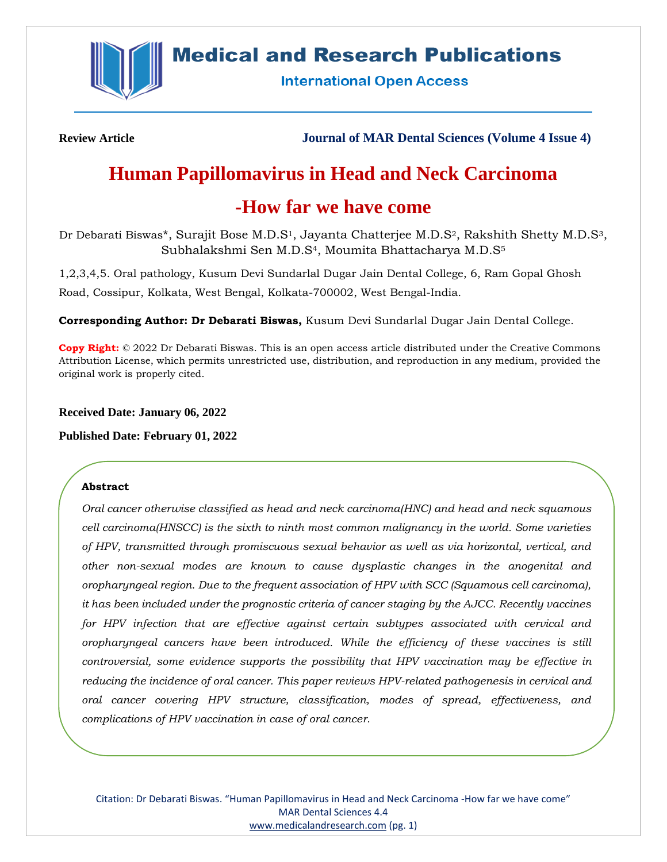

## **Medical and Research Publications**

**International Open Access** 

**Review Article Journal of MAR Dental Sciences (Volume 4 Issue 4)**

# **Human Papillomavirus in Head and Neck Carcinoma**

## **-How far we have come**

Dr Debarati Biswas\*, Surajit Bose M.D.S<sup>1</sup>, Jayanta Chatterjee M.D.S<sup>2</sup>, Rakshith Shetty M.D.S<sup>3</sup>, Subhalakshmi Sen M.D.S<sup>4</sup>, Moumita Bhattacharya M.D.S<sup>5</sup>

1,2,3,4,5. Oral pathology, Kusum Devi Sundarlal Dugar Jain Dental College, 6, Ram Gopal Ghosh Road, Cossipur, Kolkata, West Bengal, Kolkata-700002, West Bengal-India.

**Corresponding Author: Dr Debarati Biswas,** Kusum Devi Sundarlal Dugar Jain Dental College.

**Copy Right:** © 2022 Dr Debarati Biswas. This is an open access article distributed under the Creative Commons Attribution License, which permits unrestricted use, distribution, and reproduction in any medium, provided the original work is properly cited.

**Received Date: January 06, 2022**

**Published Date: February 01, 2022**

## **Abstract**

*Oral cancer otherwise classified as head and neck carcinoma(HNC) and head and neck squamous cell carcinoma(HNSCC) is the sixth to ninth most common malignancy in the world. Some varieties of HPV, transmitted through promiscuous sexual behavior as well as via horizontal, vertical, and other non-sexual modes are known to cause dysplastic changes in the anogenital and oropharyngeal region. Due to the frequent association of HPV with SCC (Squamous cell carcinoma), it has been included under the prognostic criteria of cancer staging by the AJCC. Recently vaccines for HPV infection that are effective against certain subtypes associated with cervical and oropharyngeal cancers have been introduced. While the efficiency of these vaccines is still controversial, some evidence supports the possibility that HPV vaccination may be effective in reducing the incidence of oral cancer. This paper reviews HPV-related pathogenesis in cervical and oral cancer covering HPV structure, classification, modes of spread, effectiveness, and complications of HPV vaccination in case of oral cancer.*

Citation: Dr Debarati Biswas. "Human Papillomavirus in Head and Neck Carcinoma -How far we have come" MAR Dental Sciences 4.4 [www.medicalandresearch.com](http://www.medicalandresearch.com/) (pg. 1)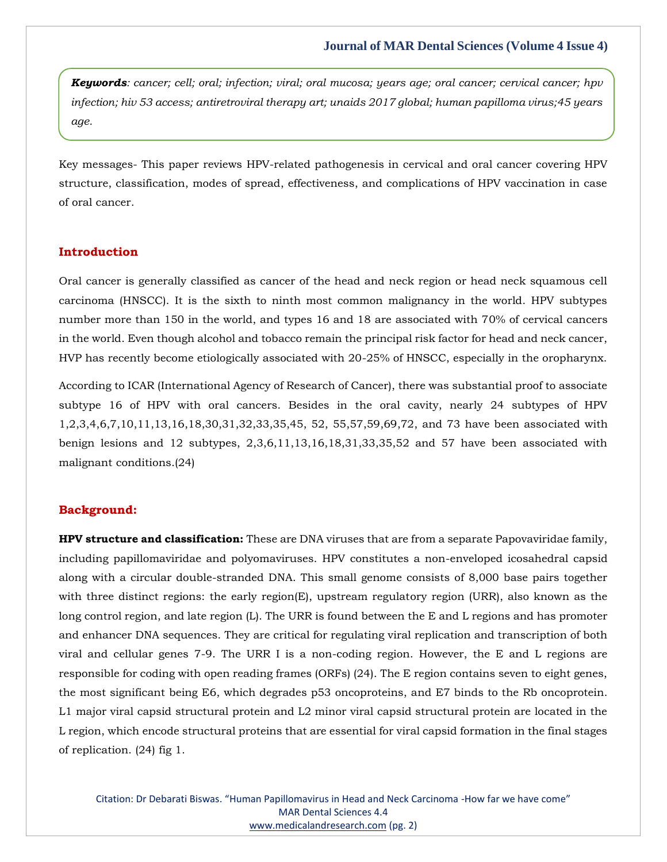*Keywords: cancer; cell; oral; infection; viral; oral mucosa; years age; oral cancer; cervical cancer; hpv infection; hiv 53 access; antiretroviral therapy art; unaids 2017 global; human papilloma virus;45 years age.*

Key messages- This paper reviews HPV-related pathogenesis in cervical and oral cancer covering HPV structure, classification, modes of spread, effectiveness, and complications of HPV vaccination in case of oral cancer.

#### **Introduction**

Oral cancer is generally classified as cancer of the head and neck region or head neck squamous cell carcinoma (HNSCC). It is the sixth to ninth most common malignancy in the world. HPV subtypes number more than 150 in the world, and types 16 and 18 are associated with 70% of cervical cancers in the world. Even though alcohol and tobacco remain the principal risk factor for head and neck cancer, HVP has recently become etiologically associated with 20-25% of HNSCC, especially in the oropharynx.

According to ICAR (International Agency of Research of Cancer), there was substantial proof to associate subtype 16 of HPV with oral cancers. Besides in the oral cavity, nearly 24 subtypes of HPV 1,2,3,4,6,7,10,11,13,16,18,30,31,32,33,35,45, 52, 55,57,59,69,72, and 73 have been associated with benign lesions and 12 subtypes, 2,3,6,11,13,16,18,31,33,35,52 and 57 have been associated with malignant conditions.(24)

## **Background:**

**HPV structure and classification:** These are DNA viruses that are from a separate Papovaviridae family, including papillomaviridae and polyomaviruses. HPV constitutes a non-enveloped icosahedral capsid along with a circular double-stranded DNA. This small genome consists of 8,000 base pairs together with three distinct regions: the early region(E), upstream regulatory region (URR), also known as the long control region, and late region (L). The URR is found between the E and L regions and has promoter and enhancer DNA sequences. They are critical for regulating viral replication and transcription of both viral and cellular genes 7-9. The URR I is a non-coding region. However, the E and L regions are responsible for coding with open reading frames (ORFs) (24). The E region contains seven to eight genes, the most significant being E6, which degrades p53 oncoproteins, and E7 binds to the Rb oncoprotein. L1 major viral capsid structural protein and L2 minor viral capsid structural protein are located in the L region, which encode structural proteins that are essential for viral capsid formation in the final stages of replication. (24) fig 1.

Citation: Dr Debarati Biswas. "Human Papillomavirus in Head and Neck Carcinoma -How far we have come" MAR Dental Sciences 4.4 [www.medicalandresearch.com](http://www.medicalandresearch.com/) (pg. 2)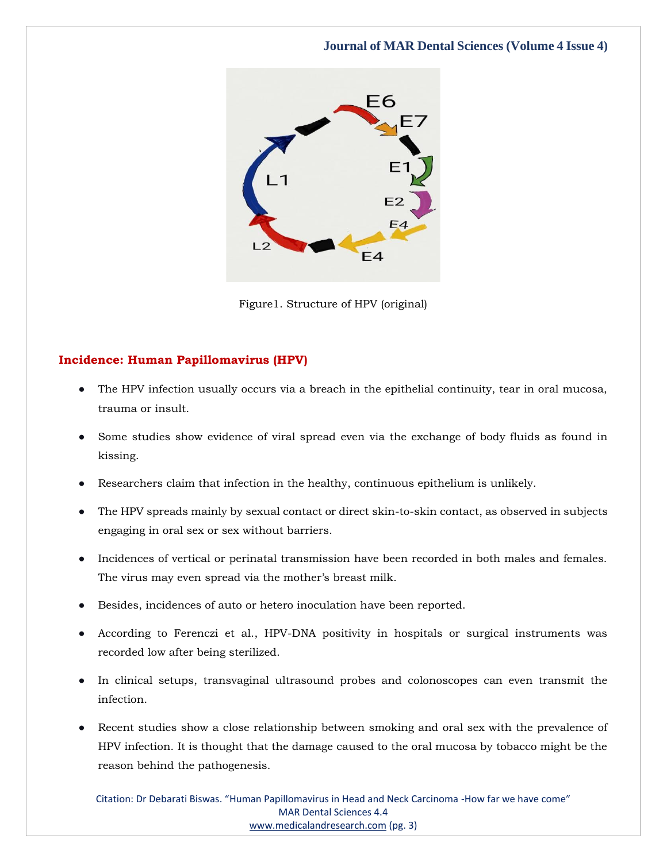

Figure1. Structure of HPV (original)

## **Incidence: Human Papillomavirus (HPV)**

- The HPV infection usually occurs via a breach in the epithelial continuity, tear in oral mucosa, trauma or insult.
- Some studies show evidence of viral spread even via the exchange of body fluids as found in kissing.
- Researchers claim that infection in the healthy, continuous epithelium is unlikely.
- The HPV spreads mainly by sexual contact or direct skin-to-skin contact, as observed in subjects engaging in oral sex or sex without barriers.
- Incidences of vertical or perinatal transmission have been recorded in both males and females. The virus may even spread via the mother's breast milk.
- Besides, incidences of auto or hetero inoculation have been reported.
- According to Ferenczi et al., HPV-DNA positivity in hospitals or surgical instruments was recorded low after being sterilized.
- In clinical setups, transvaginal ultrasound probes and colonoscopes can even transmit the infection.
- Recent studies show a close relationship between smoking and oral sex with the prevalence of HPV infection. It is thought that the damage caused to the oral mucosa by tobacco might be the reason behind the pathogenesis.

Citation: Dr Debarati Biswas. "Human Papillomavirus in Head and Neck Carcinoma -How far we have come" MAR Dental Sciences 4.4 [www.medicalandresearch.com](http://www.medicalandresearch.com/) (pg. 3)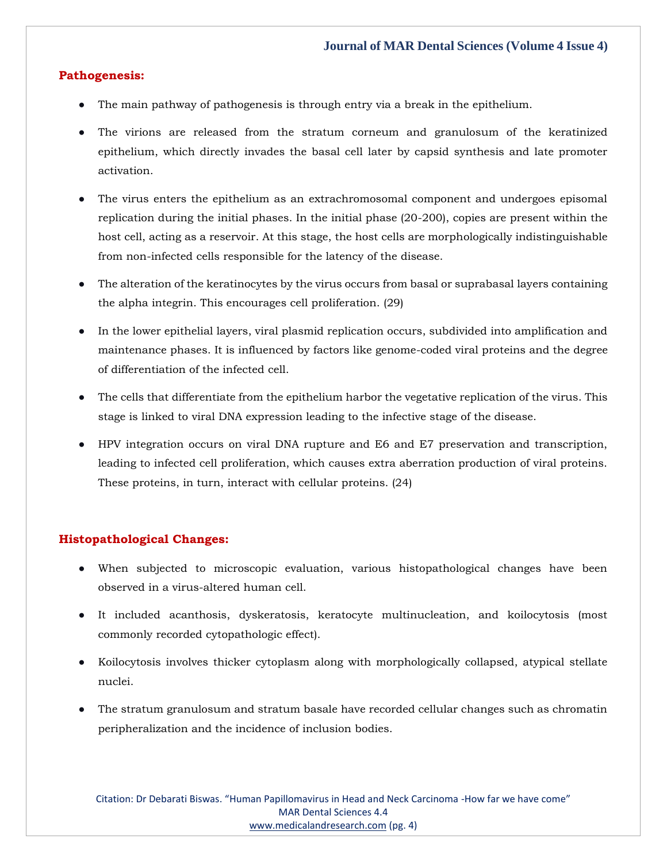## **Pathogenesis:**

- The main pathway of pathogenesis is through entry via a break in the epithelium.
- The virions are released from the stratum corneum and granulosum of the keratinized epithelium, which directly invades the basal cell later by capsid synthesis and late promoter activation.
- The virus enters the epithelium as an extrachromosomal component and undergoes episomal replication during the initial phases. In the initial phase (20-200), copies are present within the host cell, acting as a reservoir. At this stage, the host cells are morphologically indistinguishable from non-infected cells responsible for the latency of the disease.
- The alteration of the keratinocytes by the virus occurs from basal or suprabasal layers containing the alpha integrin. This encourages cell proliferation. (29)
- In the lower epithelial layers, viral plasmid replication occurs, subdivided into amplification and maintenance phases. It is influenced by factors like genome-coded viral proteins and the degree of differentiation of the infected cell.
- The cells that differentiate from the epithelium harbor the vegetative replication of the virus. This stage is linked to viral DNA expression leading to the infective stage of the disease.
- HPV integration occurs on viral DNA rupture and E6 and E7 preservation and transcription, leading to infected cell proliferation, which causes extra aberration production of viral proteins. These proteins, in turn, interact with cellular proteins. (24)

## **Histopathological Changes:**

- When subjected to microscopic evaluation, various histopathological changes have been observed in a virus-altered human cell.
- It included acanthosis, dyskeratosis, keratocyte multinucleation, and koilocytosis (most commonly recorded cytopathologic effect).
- Koilocytosis involves thicker cytoplasm along with morphologically collapsed, atypical stellate nuclei.
- The stratum granulosum and stratum basale have recorded cellular changes such as chromatin peripheralization and the incidence of inclusion bodies.

Citation: Dr Debarati Biswas. "Human Papillomavirus in Head and Neck Carcinoma -How far we have come" MAR Dental Sciences 4.4 [www.medicalandresearch.com](http://www.medicalandresearch.com/) (pg. 4)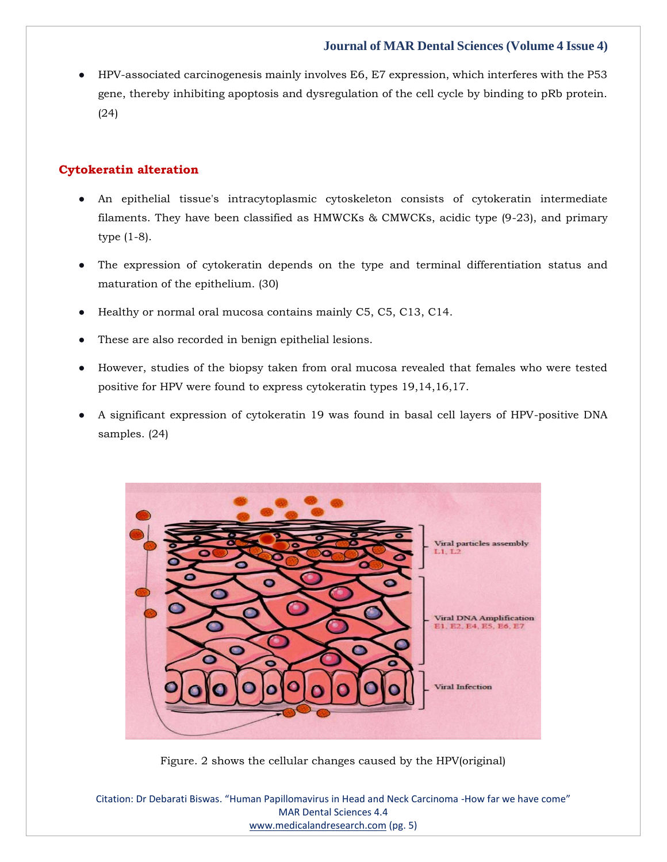● HPV-associated carcinogenesis mainly involves E6, E7 expression, which interferes with the P53 gene, thereby inhibiting apoptosis and dysregulation of the cell cycle by binding to pRb protein. (24)

## **Cytokeratin alteration**

- An epithelial tissue's intracytoplasmic cytoskeleton consists of cytokeratin intermediate filaments. They have been classified as HMWCKs & CMWCKs, acidic type (9-23), and primary type (1-8).
- The expression of cytokeratin depends on the type and terminal differentiation status and maturation of the epithelium. (30)
- Healthy or normal oral mucosa contains mainly C5, C5, C13, C14.
- These are also recorded in benign epithelial lesions.
- However, studies of the biopsy taken from oral mucosa revealed that females who were tested positive for HPV were found to express cytokeratin types 19,14,16,17.
- A significant expression of cytokeratin 19 was found in basal cell layers of HPV-positive DNA samples. (24)



Figure. 2 shows the cellular changes caused by the HPV(original)

Citation: Dr Debarati Biswas. "Human Papillomavirus in Head and Neck Carcinoma -How far we have come" MAR Dental Sciences 4.4 [www.medicalandresearch.com](http://www.medicalandresearch.com/) (pg. 5)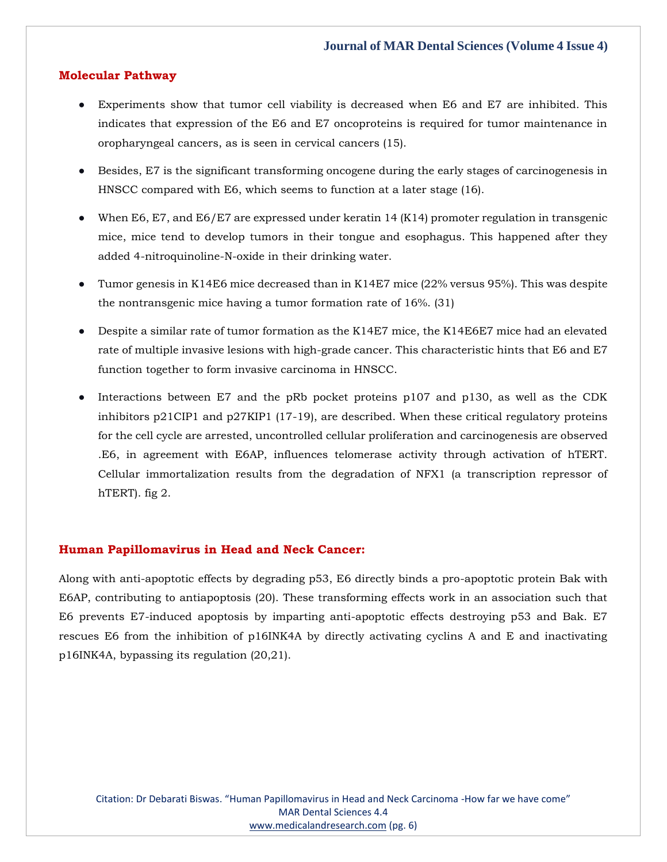### **Molecular Pathway**

- Experiments show that tumor cell viability is decreased when E6 and E7 are inhibited. This indicates that expression of the E6 and E7 oncoproteins is required for tumor maintenance in oropharyngeal cancers, as is seen in cervical cancers (15).
- Besides, E7 is the significant transforming oncogene during the early stages of carcinogenesis in HNSCC compared with E6, which seems to function at a later stage (16).
- When E6, E7, and E6/E7 are expressed under keratin 14 (K14) promoter regulation in transgenic mice, mice tend to develop tumors in their tongue and esophagus. This happened after they added 4-nitroquinoline-N-oxide in their drinking water.
- Tumor genesis in K14E6 mice decreased than in K14E7 mice (22% versus 95%). This was despite the nontransgenic mice having a tumor formation rate of 16%. (31)
- Despite a similar rate of tumor formation as the K14E7 mice, the K14E6E7 mice had an elevated rate of multiple invasive lesions with high-grade cancer. This characteristic hints that E6 and E7 function together to form invasive carcinoma in HNSCC.
- Interactions between E7 and the pRb pocket proteins p107 and p130, as well as the CDK inhibitors p21CIP1 and p27KIP1 (17-19), are described. When these critical regulatory proteins for the cell cycle are arrested, uncontrolled cellular proliferation and carcinogenesis are observed .E6, in agreement with E6AP, influences telomerase activity through activation of hTERT. Cellular immortalization results from the degradation of NFX1 (a transcription repressor of hTERT). fig 2.

#### **Human Papillomavirus in Head and Neck Cancer:**

Along with anti-apoptotic effects by degrading p53, E6 directly binds a pro-apoptotic protein Bak with E6AP, contributing to antiapoptosis (20). These transforming effects work in an association such that E6 prevents E7-induced apoptosis by imparting anti-apoptotic effects destroying p53 and Bak. E7 rescues E6 from the inhibition of p16INK4A by directly activating cyclins A and E and inactivating p16INK4A, bypassing its regulation (20,21).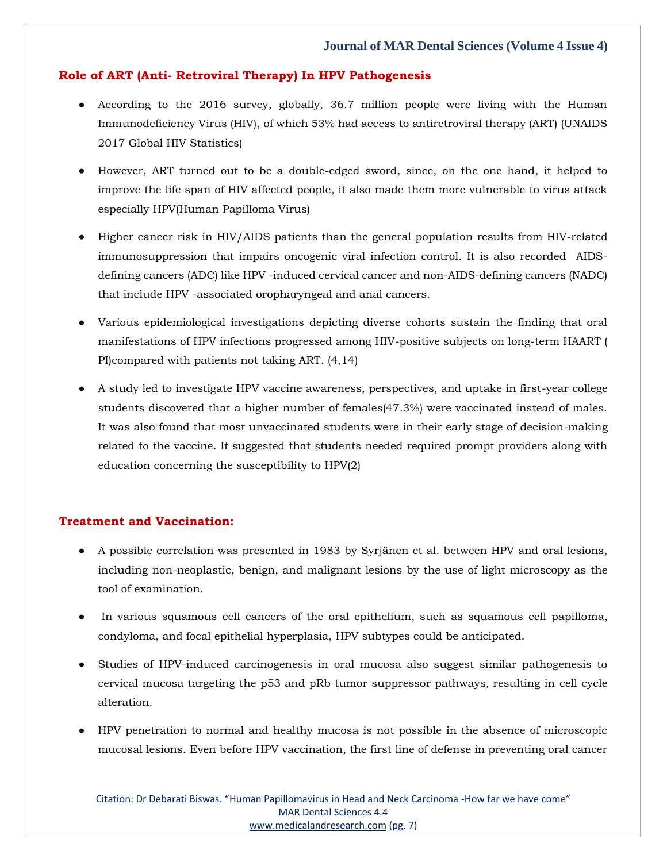## **Role of ART (Anti- Retroviral Therapy) In HPV Pathogenesis**

- According to the 2016 survey, globally, 36.7 million people were living with the Human Immunodeficiency Virus (HIV), of which 53% had access to antiretroviral therapy (ART) (UNAIDS 2017 Global HIV Statistics)
- However, ART turned out to be a double-edged sword, since, on the one hand, it helped to improve the life span of HIV affected people, it also made them more vulnerable to virus attack especially HPV(Human Papilloma Virus)
- Higher cancer risk in HIV/AIDS patients than the general population results from HIV-related immunosuppression that impairs oncogenic viral infection control. It is also recorded AIDSdefining cancers (ADC) like HPV -induced cervical cancer and non-AIDS-defining cancers (NADC) that include HPV -associated oropharyngeal and anal cancers.
- Various epidemiological investigations depicting diverse cohorts sustain the finding that oral manifestations of HPV infections progressed among HIV-positive subjects on long-term HAART ( PI)compared with patients not taking ART. (4,14)
- A study led to investigate HPV vaccine awareness, perspectives, and uptake in first-year college students discovered that a higher number of females(47.3%) were vaccinated instead of males. It was also found that most unvaccinated students were in their early stage of decision-making related to the vaccine. It suggested that students needed required prompt providers along with education concerning the susceptibility to HPV(2)

## **Treatment and Vaccination:**

- A possible correlation was presented in 1983 by Syrjänen et al. between HPV and oral lesions, including non-neoplastic, benign, and malignant lesions by the use of light microscopy as the tool of examination.
- In various squamous cell cancers of the oral epithelium, such as squamous cell papilloma, condyloma, and focal epithelial hyperplasia, HPV subtypes could be anticipated.
- Studies of HPV-induced carcinogenesis in oral mucosa also suggest similar pathogenesis to cervical mucosa targeting the p53 and pRb tumor suppressor pathways, resulting in cell cycle alteration.
- HPV penetration to normal and healthy mucosa is not possible in the absence of microscopic mucosal lesions. Even before HPV vaccination, the first line of defense in preventing oral cancer

Citation: Dr Debarati Biswas. "Human Papillomavirus in Head and Neck Carcinoma -How far we have come" MAR Dental Sciences 4.4 [www.medicalandresearch.com](http://www.medicalandresearch.com/) (pg. 7)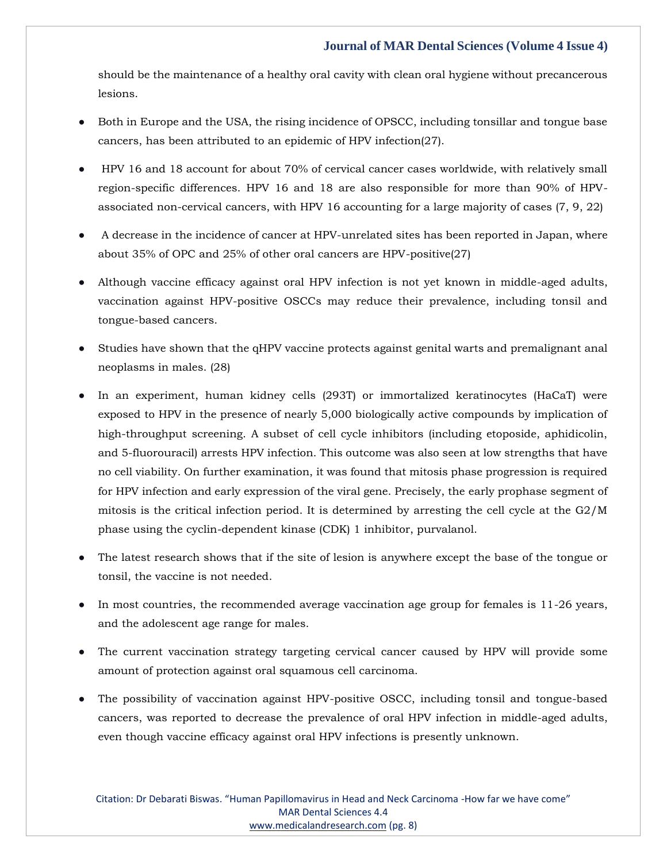should be the maintenance of a healthy oral cavity with clean oral hygiene without precancerous lesions.

- Both in Europe and the USA, the rising incidence of OPSCC, including tonsillar and tongue base cancers, has been attributed to an epidemic of HPV infection(27).
- HPV 16 and 18 account for about 70% of cervical cancer cases worldwide, with relatively small region-specific differences. HPV 16 and 18 are also responsible for more than 90% of HPVassociated non-cervical cancers, with HPV 16 accounting for a large majority of cases (7, 9, 22)
- A decrease in the incidence of cancer at HPV-unrelated sites has been reported in Japan, where about 35% of OPC and 25% of other oral cancers are HPV-positive(27)
- Although vaccine efficacy against oral HPV infection is not yet known in middle-aged adults, vaccination against HPV-positive OSCCs may reduce their prevalence, including tonsil and tongue-based cancers.
- Studies have shown that the qHPV vaccine protects against genital warts and premalignant anal neoplasms in males. (28)
- In an experiment, human kidney cells (293T) or immortalized keratinocytes (HaCaT) were exposed to HPV in the presence of nearly 5,000 biologically active compounds by implication of high-throughput screening. A subset of cell cycle inhibitors (including etoposide, aphidicolin, and 5-fluorouracil) arrests HPV infection. This outcome was also seen at low strengths that have no cell viability. On further examination, it was found that mitosis phase progression is required for HPV infection and early expression of the viral gene. Precisely, the early prophase segment of mitosis is the critical infection period. It is determined by arresting the cell cycle at the G2/M phase using the cyclin-dependent kinase (CDK) 1 inhibitor, purvalanol.
- The latest research shows that if the site of lesion is anywhere except the base of the tongue or tonsil, the vaccine is not needed.
- In most countries, the recommended average vaccination age group for females is  $11-26$  years, and the adolescent age range for males.
- The current vaccination strategy targeting cervical cancer caused by HPV will provide some amount of protection against oral squamous cell carcinoma.
- The possibility of vaccination against HPV-positive OSCC, including tonsil and tongue-based cancers, was reported to decrease the prevalence of oral HPV infection in middle-aged adults, even though vaccine efficacy against oral HPV infections is presently unknown.

Citation: Dr Debarati Biswas. "Human Papillomavirus in Head and Neck Carcinoma -How far we have come" MAR Dental Sciences 4.4 [www.medicalandresearch.com](http://www.medicalandresearch.com/) (pg. 8)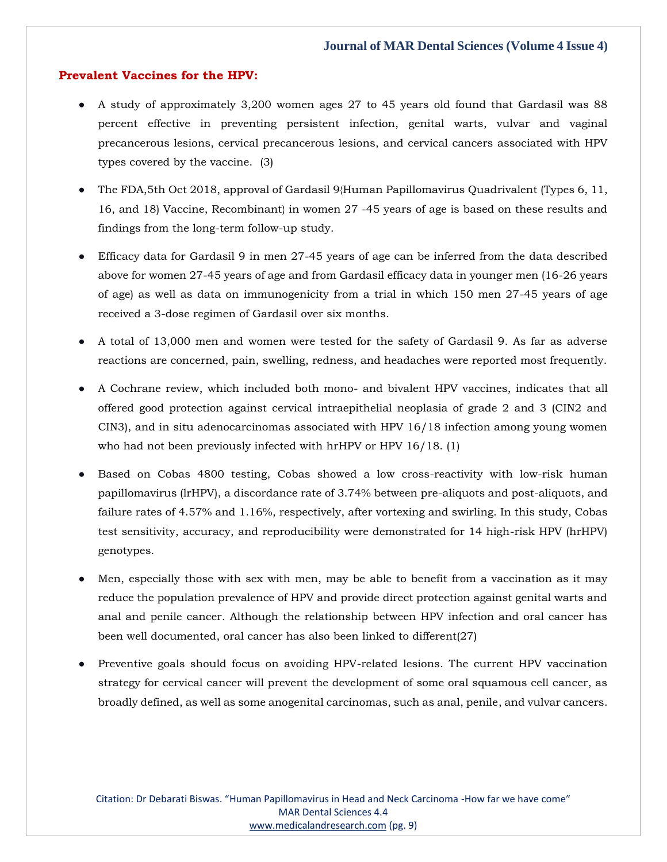## **Prevalent Vaccines for the HPV:**

- A study of approximately 3,200 women ages 27 to 45 years old found that Gardasil was 88 percent effective in preventing persistent infection, genital warts, vulvar and vaginal precancerous lesions, cervical precancerous lesions, and cervical cancers associated with HPV types covered by the vaccine. (3)
- The FDA,5th Oct 2018, approval of Gardasil 9{Human Papillomavirus Quadrivalent (Types 6, 11, 16, and 18) Vaccine, Recombinant} in women 27 -45 years of age is based on these results and findings from the long-term follow-up study.
- Efficacy data for Gardasil 9 in men 27-45 years of age can be inferred from the data described above for women 27-45 years of age and from Gardasil efficacy data in younger men (16-26 years of age) as well as data on immunogenicity from a trial in which 150 men 27-45 years of age received a 3-dose regimen of Gardasil over six months.
- A total of 13,000 men and women were tested for the safety of Gardasil 9. As far as adverse reactions are concerned, pain, swelling, redness, and headaches were reported most frequently.
- A Cochrane review, which included both mono- and bivalent HPV vaccines, indicates that all offered good protection against cervical intraepithelial neoplasia of grade 2 and 3 (CIN2 and CIN3), and in situ adenocarcinomas associated with HPV 16/18 infection among young women who had not been previously infected with hrHPV or HPV 16/18. (1)
- Based on Cobas 4800 testing, Cobas showed a low cross-reactivity with low-risk human papillomavirus (lrHPV), a discordance rate of 3.74% between pre-aliquots and post-aliquots, and failure rates of 4.57% and 1.16%, respectively, after vortexing and swirling. In this study, Cobas test sensitivity, accuracy, and reproducibility were demonstrated for 14 high-risk HPV (hrHPV) genotypes.
- Men, especially those with sex with men, may be able to benefit from a vaccination as it may reduce the population prevalence of HPV and provide direct protection against genital warts and anal and penile cancer. Although the relationship between HPV infection and oral cancer has been well documented, oral cancer has also been linked to different(27)
- Preventive goals should focus on avoiding HPV-related lesions. The current HPV vaccination strategy for cervical cancer will prevent the development of some oral squamous cell cancer, as broadly defined, as well as some anogenital carcinomas, such as anal, penile, and vulvar cancers.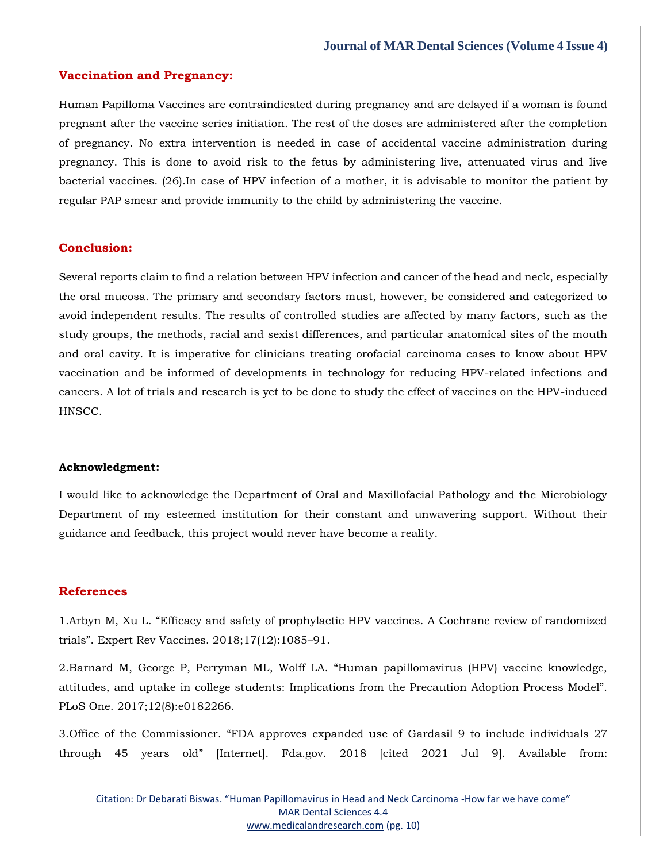### **Vaccination and Pregnancy:**

Human Papilloma Vaccines are contraindicated during pregnancy and are delayed if a woman is found pregnant after the vaccine series initiation. The rest of the doses are administered after the completion of pregnancy. No extra intervention is needed in case of accidental vaccine administration during pregnancy. This is done to avoid risk to the fetus by administering live, attenuated virus and live bacterial vaccines. (26).In case of HPV infection of a mother, it is advisable to monitor the patient by regular PAP smear and provide immunity to the child by administering the vaccine.

## **Conclusion:**

Several reports claim to find a relation between HPV infection and cancer of the head and neck, especially the oral mucosa. The primary and secondary factors must, however, be considered and categorized to avoid independent results. The results of controlled studies are affected by many factors, such as the study groups, the methods, racial and sexist differences, and particular anatomical sites of the mouth and oral cavity. It is imperative for clinicians treating orofacial carcinoma cases to know about HPV vaccination and be informed of developments in technology for reducing HPV-related infections and cancers. A lot of trials and research is yet to be done to study the effect of vaccines on the HPV-induced HNSCC.

#### **Acknowledgment:**

I would like to acknowledge the Department of Oral and Maxillofacial Pathology and the Microbiology Department of my esteemed institution for their constant and unwavering support. Without their guidance and feedback, this project would never have become a reality.

## **References**

1.[Arbyn M, Xu L. "Efficacy and safety of prophylactic HPV vaccines. A Cochrane review of randomized](https://www.google.com/search?q=Efficacy+and+safety+of+prophylactic+HPV+vaccines.+A+Cochrane+review+of+randomized+trials&oq=Efficacy+and+safety+of+prophylactic+HPV+vaccines.+A+Cochrane+review+of+randomized+trials&aqs=chrome..69i57.1234j0j7&sourceid=chrome&ie=UTF-8)  [trials". Expert Rev Vaccines. 2018;17\(12\):1085–](https://www.google.com/search?q=Efficacy+and+safety+of+prophylactic+HPV+vaccines.+A+Cochrane+review+of+randomized+trials&oq=Efficacy+and+safety+of+prophylactic+HPV+vaccines.+A+Cochrane+review+of+randomized+trials&aqs=chrome..69i57.1234j0j7&sourceid=chrome&ie=UTF-8)91.

2.[Barnard M, George P, Perryman ML, Wolff LA. "Human papillomavirus \(HPV\) vaccine knowledge,](https://www.google.com/search?q=Human+papillomavirus+%28HPV%29+vaccine+knowledge%2C+attitudes%2C+and+uptake+in+college+students%3A+Implications+from+the+Precaution+Adoption+Process+Model&sxsrf=AOaemvI-7OLfDG3nxOhdZKERkeNpNMQ5Nw%3A1641890110360&ei=PkHdYYXEFbGUseMP49Se4AE&ved=0ahUKEwiF26ampan1AhUxSmwGHWOqBxwQ4dUDCA4&uact=5&oq=Human+papillomavirus+%28HPV%29+vaccine+knowledge%2C+attitudes%2C+and+uptake+in+college+students%3A+Implications+from+the+Precaution+Adoption+Process+Model&gs_lcp=Cgdnd3Mtd2l6EAMyBwgjEOoCECcyBwgjEOoCECcyBwgjEOoCECcyBwgjEOoCECcyBwgjEOoCECcyBwgjEOoCECcyBwgjEOoCECcyBwgjEOoCECcyBwgjEOoCECcyBwgjEOoCECdKBAhBGABKBAhGGABQ9wVY9wVgzghoAXACeACAAQCIAQCSAQCYAQCgAQGgAQKwAQrAAQE&sclient=gws-wiz)  attitudes, and uptake in college st[udents: Implications from the Precaution Adoption Process Model".](https://www.google.com/search?q=Human+papillomavirus+%28HPV%29+vaccine+knowledge%2C+attitudes%2C+and+uptake+in+college+students%3A+Implications+from+the+Precaution+Adoption+Process+Model&sxsrf=AOaemvI-7OLfDG3nxOhdZKERkeNpNMQ5Nw%3A1641890110360&ei=PkHdYYXEFbGUseMP49Se4AE&ved=0ahUKEwiF26ampan1AhUxSmwGHWOqBxwQ4dUDCA4&uact=5&oq=Human+papillomavirus+%28HPV%29+vaccine+knowledge%2C+attitudes%2C+and+uptake+in+college+students%3A+Implications+from+the+Precaution+Adoption+Process+Model&gs_lcp=Cgdnd3Mtd2l6EAMyBwgjEOoCECcyBwgjEOoCECcyBwgjEOoCECcyBwgjEOoCECcyBwgjEOoCECcyBwgjEOoCECcyBwgjEOoCECcyBwgjEOoCECcyBwgjEOoCECcyBwgjEOoCECdKBAhBGABKBAhGGABQ9wVY9wVgzghoAXACeACAAQCIAQCSAQCYAQCgAQGgAQKwAQrAAQE&sclient=gws-wiz)  [PLoS One. 2017;12\(8\):e0182266.](https://www.google.com/search?q=Human+papillomavirus+%28HPV%29+vaccine+knowledge%2C+attitudes%2C+and+uptake+in+college+students%3A+Implications+from+the+Precaution+Adoption+Process+Model&sxsrf=AOaemvI-7OLfDG3nxOhdZKERkeNpNMQ5Nw%3A1641890110360&ei=PkHdYYXEFbGUseMP49Se4AE&ved=0ahUKEwiF26ampan1AhUxSmwGHWOqBxwQ4dUDCA4&uact=5&oq=Human+papillomavirus+%28HPV%29+vaccine+knowledge%2C+attitudes%2C+and+uptake+in+college+students%3A+Implications+from+the+Precaution+Adoption+Process+Model&gs_lcp=Cgdnd3Mtd2l6EAMyBwgjEOoCECcyBwgjEOoCECcyBwgjEOoCECcyBwgjEOoCECcyBwgjEOoCECcyBwgjEOoCECcyBwgjEOoCECcyBwgjEOoCECcyBwgjEOoCECcyBwgjEOoCECdKBAhBGABKBAhGGABQ9wVY9wVgzghoAXACeACAAQCIAQCSAQCYAQCgAQGgAQKwAQrAAQE&sclient=gws-wiz)

3.Office of the Commissioner. "FDA approves expanded use of Gardasil 9 to include individuals 27 through 45 years old" [Internet]. Fda.gov. 2018 [cited 2021 Jul 9]. Available from:

Citation: Dr Debarati Biswas. "Human Papillomavirus in Head and Neck Carcinoma -How far we have come" MAR Dental Sciences 4.4 [www.medicalandresearch.com](http://www.medicalandresearch.com/) (pg. 10)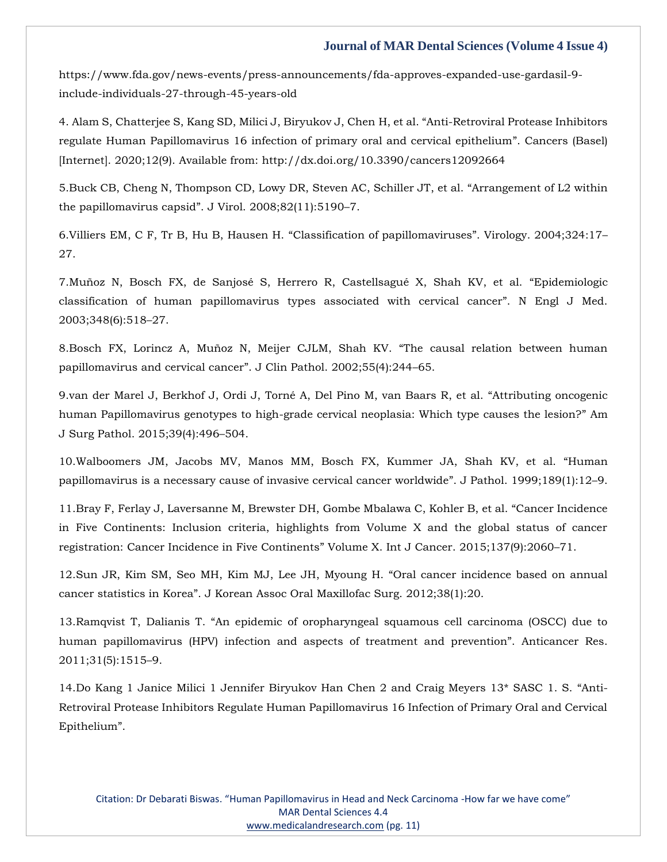https://www.fda.gov/news-events/press-announcements/fda-approves-expanded-use-gardasil-9 include-individuals-27-through-45-years-old

4. Alam S, Chatterjee S, Kang SD, Milici J, Biryukov J, Chen H, et al. "Anti-Retroviral Protease Inhibitors regulate Human Papillomavirus 16 infection of primary oral and cervical epithelium". Cancers (Basel) [Internet]. 2020;12(9). Available from: http://dx.doi.org/10.3390/cancers12092664

5[.Buck CB, Cheng N, Thompson CD, Lowy DR, Steven AC, Schiller JT, et al.](https://www.google.com/search?q=Arrangement+of+L2+within+the+papillomavirus+capsid&sxsrf=AOaemvL5gRsaUd71l4nJm2QPz4hwRwm_fw%3A1641890551556&ei=90LdYc-eIbibseMPoMmP4AQ&ved=0ahUKEwiP9tb4pqn1AhW4TWwGHaDkA0wQ4dUDCA4&uact=5&oq=Arrangement+of+L2+within+the+papillomavirus+capsid&gs_lcp=Cgdnd3Mtd2l6EAMyBwgjEOoCECcyBwgjEOoCECcyBwgjEOoCECcyBwgjEOoCECcyBwgjEOoCECcyBwgjEOoCECcyBwgjEOoCECcyBwgjEOoCECcyBwgjEOoCECcyBwgjEOoCECdKBAhBGABKBAhGGABQoQJYoQJg8QNoAXAAeACAAQCIAQCSAQCYAQCgAQGgAQKwAQrAAQE&sclient=gws-wiz) "Arrangement of L2 within the papillomavirus capsid"[. J Virol. 2008;82\(11\):5190](https://www.google.com/search?q=Arrangement+of+L2+within+the+papillomavirus+capsid&sxsrf=AOaemvL5gRsaUd71l4nJm2QPz4hwRwm_fw%3A1641890551556&ei=90LdYc-eIbibseMPoMmP4AQ&ved=0ahUKEwiP9tb4pqn1AhW4TWwGHaDkA0wQ4dUDCA4&uact=5&oq=Arrangement+of+L2+within+the+papillomavirus+capsid&gs_lcp=Cgdnd3Mtd2l6EAMyBwgjEOoCECcyBwgjEOoCECcyBwgjEOoCECcyBwgjEOoCECcyBwgjEOoCECcyBwgjEOoCECcyBwgjEOoCECcyBwgjEOoCECcyBwgjEOoCECcyBwgjEOoCECdKBAhBGABKBAhGGABQoQJYoQJg8QNoAXAAeACAAQCIAQCSAQCYAQCgAQGgAQKwAQrAAQE&sclient=gws-wiz)–7.

6[.Villiers EM, C F, Tr B, Hu B, Hausen H.](https://www.google.com/search?q=Classification+of+papillomaviruses&sxsrf=AOaemvLcr8Iw4shuAtefsyyZFSndIr_4pA%3A1641890571485&ei=C0PdYZyDHYiRseMPveORoA4&ved=0ahUKEwjctJeCp6n1AhWISGwGHb1xBOQQ4dUDCA4&uact=5&oq=Classification+of+papillomaviruses&gs_lcp=Cgdnd3Mtd2l6EAMyBQgAEIAEMgQIABAKOgcIIxDqAhAnSgQIQRgASgQIRhgAUNIFWNIFYP8HaAFwAHgAgAHGAYgBxgGSAQMwLjGYAQCgAQGgAQKwAQrAAQE&sclient=gws-wiz) "Classification of papillomaviruses". Virology. 2004;324:17– [27.](https://www.google.com/search?q=Classification+of+papillomaviruses&sxsrf=AOaemvLcr8Iw4shuAtefsyyZFSndIr_4pA%3A1641890571485&ei=C0PdYZyDHYiRseMPveORoA4&ved=0ahUKEwjctJeCp6n1AhWISGwGHb1xBOQQ4dUDCA4&uact=5&oq=Classification+of+papillomaviruses&gs_lcp=Cgdnd3Mtd2l6EAMyBQgAEIAEMgQIABAKOgcIIxDqAhAnSgQIQRgASgQIRhgAUNIFWNIFYP8HaAFwAHgAgAHGAYgBxgGSAQMwLjGYAQCgAQGgAQKwAQrAAQE&sclient=gws-wiz)

7[.Muñoz N, Bosch FX, de Sanjosé S, Herrero R, Castellsagué X, Shah KV, et al.](https://www.google.com/search?q=Epidemiologic+classification+of+human+papillomavirus+types+associated+with+cervical+cancer&sxsrf=AOaemvKOG0-m789qzaAj4rSQWmuBDSdmMQ%3A1641890588898&ei=HEPdYa-iNvWdseMP4tOkoA4&ved=0ahUKEwivoL6Kp6n1AhX1TmwGHeIpCeQQ4dUDCA4&uact=5&oq=Epidemiologic+classification+of+human+papillomavirus+types+associated+with+cervical+cancer&gs_lcp=Cgdnd3Mtd2l6EAMyBQgAEIAEOgcIIxDqAhAnSgQIQRgASgQIRhgAUMUFWMUFYMEHaAFwAngAgAHLAYgBywGSAQMyLTGYAQCgAQGgAQKwAQrAAQE&sclient=gws-wiz) "Epidemiologic [classification of human papillomavirus types associated with cervical cancer](https://www.google.com/search?q=Epidemiologic+classification+of+human+papillomavirus+types+associated+with+cervical+cancer&sxsrf=AOaemvKOG0-m789qzaAj4rSQWmuBDSdmMQ%3A1641890588898&ei=HEPdYa-iNvWdseMP4tOkoA4&ved=0ahUKEwivoL6Kp6n1AhX1TmwGHeIpCeQQ4dUDCA4&uact=5&oq=Epidemiologic+classification+of+human+papillomavirus+types+associated+with+cervical+cancer&gs_lcp=Cgdnd3Mtd2l6EAMyBQgAEIAEOgcIIxDqAhAnSgQIQRgASgQIRhgAUMUFWMUFYMEHaAFwAngAgAHLAYgBywGSAQMyLTGYAQCgAQGgAQKwAQrAAQE&sclient=gws-wiz)". N Engl J Med. [2003;348\(6\):518](https://www.google.com/search?q=Epidemiologic+classification+of+human+papillomavirus+types+associated+with+cervical+cancer&sxsrf=AOaemvKOG0-m789qzaAj4rSQWmuBDSdmMQ%3A1641890588898&ei=HEPdYa-iNvWdseMP4tOkoA4&ved=0ahUKEwivoL6Kp6n1AhX1TmwGHeIpCeQQ4dUDCA4&uact=5&oq=Epidemiologic+classification+of+human+papillomavirus+types+associated+with+cervical+cancer&gs_lcp=Cgdnd3Mtd2l6EAMyBQgAEIAEOgcIIxDqAhAnSgQIQRgASgQIRhgAUMUFWMUFYMEHaAFwAngAgAHLAYgBywGSAQMyLTGYAQCgAQGgAQKwAQrAAQE&sclient=gws-wiz)–27.

8[.Bosch FX, Lorincz A, Muñoz N, Meijer CJLM, Shah KV.](https://www.google.com/search?q=The+causal+relation+between+human+papillomavirus+and+cervical+cancer&sxsrf=AOaemvJ7OBs3hIjFND7qS-jo_uaXmd0W5A%3A1641890608595&ei=MEPdYYbSI72gseMP1O22qAw&ved=0ahUKEwiGqvCTp6n1AhU9UGwGHdS2DcUQ4dUDCA4&uact=5&oq=The+causal+relation+between+human+papillomavirus+and+cervical+cancer&gs_lcp=Cgdnd3Mtd2l6EAMyBQgAEIAEMgYIABAWEB46BwgjEOoCECdKBAhBGABKBAhGGABQ-AVY-AVgkwhoAXACeACAAdQBiAHUAZIBAzItMZgBAKABAaABArABCsABAQ&sclient=gws-wiz) "The causal relation between human [papillomavirus and cervical cancer](https://www.google.com/search?q=The+causal+relation+between+human+papillomavirus+and+cervical+cancer&sxsrf=AOaemvJ7OBs3hIjFND7qS-jo_uaXmd0W5A%3A1641890608595&ei=MEPdYYbSI72gseMP1O22qAw&ved=0ahUKEwiGqvCTp6n1AhU9UGwGHdS2DcUQ4dUDCA4&uact=5&oq=The+causal+relation+between+human+papillomavirus+and+cervical+cancer&gs_lcp=Cgdnd3Mtd2l6EAMyBQgAEIAEMgYIABAWEB46BwgjEOoCECdKBAhBGABKBAhGGABQ-AVY-AVgkwhoAXACeACAAdQBiAHUAZIBAzItMZgBAKABAaABArABCsABAQ&sclient=gws-wiz)". J Clin Pathol. 2002;55(4):244–65.

9[.van der Marel J, Berkhof J, Ordi J, Torné A, Del Pino M, van Baars R, et al.](https://www.google.com/search?q=Attributing+oncogenic+human+Papillomavirus+genotypes+to+high-grade+cervical+neoplasia%3A+Which+type+causes+the+lesion%3F&sxsrf=AOaemvIyL1eXVfUPJy0lQbtCl5xC3DBkLw%3A1641890630727&ei=RkPdYc6uK7aVseMPlZOHiAc&ved=0ahUKEwjO6baep6n1AhW2SmwGHZXJAXEQ4dUDCA4&uact=5&oq=Attributing+oncogenic+human+Papillomavirus+genotypes+to+high-grade+cervical+neoplasia%3A+Which+type+causes+the+lesion%3F&gs_lcp=Cgdnd3Mtd2l6EAMyBwgjEOoCECcyBwgjEOoCECcyBwgjEOoCECcyBwgjEOoCECcyBwgjEOoCECcyBwgjEOoCECcyBwgjEOoCECcyBwgjEOoCECcyBwgjEOoCECcyBwgjEOoCECdKBAhBGABKBAhGGABQ7QVY7QVgkQhoAXACeACAAQCIAQCSAQCYAQCgAQGgAQKwAQrAAQE&sclient=gws-wiz) "Attributing oncogenic [human Papillomavirus genotypes to high-grade cervical neoplasia: Which type causes the lesion?](https://www.google.com/search?q=Attributing+oncogenic+human+Papillomavirus+genotypes+to+high-grade+cervical+neoplasia%3A+Which+type+causes+the+lesion%3F&sxsrf=AOaemvIyL1eXVfUPJy0lQbtCl5xC3DBkLw%3A1641890630727&ei=RkPdYc6uK7aVseMPlZOHiAc&ved=0ahUKEwjO6baep6n1AhW2SmwGHZXJAXEQ4dUDCA4&uact=5&oq=Attributing+oncogenic+human+Papillomavirus+genotypes+to+high-grade+cervical+neoplasia%3A+Which+type+causes+the+lesion%3F&gs_lcp=Cgdnd3Mtd2l6EAMyBwgjEOoCECcyBwgjEOoCECcyBwgjEOoCECcyBwgjEOoCECcyBwgjEOoCECcyBwgjEOoCECcyBwgjEOoCECcyBwgjEOoCECcyBwgjEOoCECcyBwgjEOoCECdKBAhBGABKBAhGGABQ7QVY7QVgkQhoAXACeACAAQCIAQCSAQCYAQCgAQGgAQKwAQrAAQE&sclient=gws-wiz)" Am [J Surg Pathol. 2015;39\(4\):496](https://www.google.com/search?q=Attributing+oncogenic+human+Papillomavirus+genotypes+to+high-grade+cervical+neoplasia%3A+Which+type+causes+the+lesion%3F&sxsrf=AOaemvIyL1eXVfUPJy0lQbtCl5xC3DBkLw%3A1641890630727&ei=RkPdYc6uK7aVseMPlZOHiAc&ved=0ahUKEwjO6baep6n1AhW2SmwGHZXJAXEQ4dUDCA4&uact=5&oq=Attributing+oncogenic+human+Papillomavirus+genotypes+to+high-grade+cervical+neoplasia%3A+Which+type+causes+the+lesion%3F&gs_lcp=Cgdnd3Mtd2l6EAMyBwgjEOoCECcyBwgjEOoCECcyBwgjEOoCECcyBwgjEOoCECcyBwgjEOoCECcyBwgjEOoCECcyBwgjEOoCECcyBwgjEOoCECcyBwgjEOoCECcyBwgjEOoCECdKBAhBGABKBAhGGABQ7QVY7QVgkQhoAXACeACAAQCIAQCSAQCYAQCgAQGgAQKwAQrAAQE&sclient=gws-wiz)–504.

10[.Walboomers JM, Jacobs MV, Manos MM, Bosch FX, Kummer JA, Shah KV, et al.](https://www.google.com/search?q=Human+papillomavirus+is+a+necessary+cause+of+invasive+cervical+cancer+worldwide&sxsrf=AOaemvJZgpNeBzTpFlPHERX479TYXiCDkA%3A1641890652294&ei=XEPdYcO3EZqZseMP_JyyqA8&ved=0ahUKEwjD1duop6n1AhWaTGwGHXyODPUQ4dUDCA4&uact=5&oq=Human+papillomavirus+is+a+necessary+cause+of+invasive+cervical+cancer+worldwide&gs_lcp=Cgdnd3Mtd2l6EAMyBQgAEIAEOgcIIxDqAhAnSgQIQRgASgQIRhgAUMoFWMoFYIYIaAFwAHgAgAGlAogBpQKSAQMyLTGYAQCgAQGgAQKwAQrAAQE&sclient=gws-wiz) "Human [papillomavirus is a necessary cause of invasive cervical cancer worldwide](https://www.google.com/search?q=Human+papillomavirus+is+a+necessary+cause+of+invasive+cervical+cancer+worldwide&sxsrf=AOaemvJZgpNeBzTpFlPHERX479TYXiCDkA%3A1641890652294&ei=XEPdYcO3EZqZseMP_JyyqA8&ved=0ahUKEwjD1duop6n1AhWaTGwGHXyODPUQ4dUDCA4&uact=5&oq=Human+papillomavirus+is+a+necessary+cause+of+invasive+cervical+cancer+worldwide&gs_lcp=Cgdnd3Mtd2l6EAMyBQgAEIAEOgcIIxDqAhAnSgQIQRgASgQIRhgAUMoFWMoFYIYIaAFwAHgAgAGlAogBpQKSAQMyLTGYAQCgAQGgAQKwAQrAAQE&sclient=gws-wiz)". J Pathol. 1999;189(1):12–9.

11[.Bray F, Ferlay J, Laversanne M, Brewster DH, Gombe Mbalawa C, Kohler B, et al.](https://www.google.com/search?q=Cancer+Incidence+in+Five+Continents%3A+Inclusion+criteria%2C+highlights+from+Volume+X+and+the+global+status+of+cancer+registration%3A+Cancer+Incidence+in+Five+Continents&sxsrf=AOaemvKw_oRSwEN8UiYfYcNHKnUcdWv7Cg%3A1641890668611&ei=bEPdYZjOJJ6SseMP462WuAY&ved=0ahUKEwiYtL-wp6n1AhUeSWwGHeOWBWcQ4dUDCA4&uact=5&oq=Cancer+Incidence+in+Five+Continents%3A+Inclusion+criteria%2C+highlights+from+Volume+X+and+the+global+status+of+cancer+registration%3A+Cancer+Incidence+in+Five+Continents&gs_lcp=Cgdnd3Mtd2l6EAMyBwgjEOoCECcyBwgjEOoCECcyBwgjEOoCECcyBwgjEOoCECcyBwgjEOoCECcyBwgjEOoCECcyBwgjEOoCECcyBwgjEOoCECcyBwgjEOoCECcyBwgjEOoCECdKBAhBGABKBAhGGABQ0gVY0gVgtAhoAXACeACAAQCIAQCSAQCYAQCgAQGgAQKwAQrAAQE&sclient=gws-wiz) "Cancer Incidence [in Five Continents: Inclusion criteria, highlights from Volume X and the global status of cancer](https://www.google.com/search?q=Cancer+Incidence+in+Five+Continents%3A+Inclusion+criteria%2C+highlights+from+Volume+X+and+the+global+status+of+cancer+registration%3A+Cancer+Incidence+in+Five+Continents&sxsrf=AOaemvKw_oRSwEN8UiYfYcNHKnUcdWv7Cg%3A1641890668611&ei=bEPdYZjOJJ6SseMP462WuAY&ved=0ahUKEwiYtL-wp6n1AhUeSWwGHeOWBWcQ4dUDCA4&uact=5&oq=Cancer+Incidence+in+Five+Continents%3A+Inclusion+criteria%2C+highlights+from+Volume+X+and+the+global+status+of+cancer+registration%3A+Cancer+Incidence+in+Five+Continents&gs_lcp=Cgdnd3Mtd2l6EAMyBwgjEOoCECcyBwgjEOoCECcyBwgjEOoCECcyBwgjEOoCECcyBwgjEOoCECcyBwgjEOoCECcyBwgjEOoCECcyBwgjEOoCECcyBwgjEOoCECcyBwgjEOoCECdKBAhBGABKBAhGGABQ0gVY0gVgtAhoAXACeACAAQCIAQCSAQCYAQCgAQGgAQKwAQrAAQE&sclient=gws-wiz)  [registration: Cancer Incidence in Five Continents](https://www.google.com/search?q=Cancer+Incidence+in+Five+Continents%3A+Inclusion+criteria%2C+highlights+from+Volume+X+and+the+global+status+of+cancer+registration%3A+Cancer+Incidence+in+Five+Continents&sxsrf=AOaemvKw_oRSwEN8UiYfYcNHKnUcdWv7Cg%3A1641890668611&ei=bEPdYZjOJJ6SseMP462WuAY&ved=0ahUKEwiYtL-wp6n1AhUeSWwGHeOWBWcQ4dUDCA4&uact=5&oq=Cancer+Incidence+in+Five+Continents%3A+Inclusion+criteria%2C+highlights+from+Volume+X+and+the+global+status+of+cancer+registration%3A+Cancer+Incidence+in+Five+Continents&gs_lcp=Cgdnd3Mtd2l6EAMyBwgjEOoCECcyBwgjEOoCECcyBwgjEOoCECcyBwgjEOoCECcyBwgjEOoCECcyBwgjEOoCECcyBwgjEOoCECcyBwgjEOoCECcyBwgjEOoCECcyBwgjEOoCECdKBAhBGABKBAhGGABQ0gVY0gVgtAhoAXACeACAAQCIAQCSAQCYAQCgAQGgAQKwAQrAAQE&sclient=gws-wiz)" Volume X. Int J Cancer. 2015;137(9):2060–71.

12[.Sun JR, Kim SM, Seo MH, Kim MJ, Lee JH, Myoung H.](https://www.google.com/search?q=Oral+cancer+incidence+based+on+annual+cancer+statistics+in+Korea&sxsrf=AOaemvKJJid3Drei5Zx3TkSweQ5gZb6HAA%3A1641890688996&ei=gEPdYaebPKaUseMP_-CgmA0&ved=0ahUKEwin25u6p6n1AhUmSmwGHX8wCNMQ4dUDCA4&uact=5&oq=Oral+cancer+incidence+based+on+annual+cancer+statistics+in+Korea&gs_lcp=Cgdnd3Mtd2l6EAM6BwgjEOoCECdKBAhBGABKBAhGGABQ9wZY9wZg7QloAXACeACAAfUBiAH1AZIBAzItMZgBAKABAaABArABCsABAQ&sclient=gws-wiz) "Oral cancer incidence based on annual cancer statistics in Korea"[. J Korean Assoc Oral Maxillofac Surg. 2012;38\(1\):20.](https://www.google.com/search?q=Oral+cancer+incidence+based+on+annual+cancer+statistics+in+Korea&sxsrf=AOaemvKJJid3Drei5Zx3TkSweQ5gZb6HAA%3A1641890688996&ei=gEPdYaebPKaUseMP_-CgmA0&ved=0ahUKEwin25u6p6n1AhUmSmwGHX8wCNMQ4dUDCA4&uact=5&oq=Oral+cancer+incidence+based+on+annual+cancer+statistics+in+Korea&gs_lcp=Cgdnd3Mtd2l6EAM6BwgjEOoCECdKBAhBGABKBAhGGABQ9wZY9wZg7QloAXACeACAAfUBiAH1AZIBAzItMZgBAKABAaABArABCsABAQ&sclient=gws-wiz)

13.Ramqvist T, Dalianis T. "[An epidemic of oropharyngeal squamous cell carcinoma \(OSCC\) due to](https://www.google.com/search?q=An+epidemic+of+oropharyngeal+squamous+cell+carcinoma+%28OSCC%29+due+to+human+papillomavirus+%28HPV%29+infection+and+aspects+of+treatment+and+prevention&sxsrf=AOaemvJ878z_wiDXain98BHnvV8MWIm10Q%3A1641890714394&ei=mkPdYcHFF-SaseMP8Oa1oAs&ved=0ahUKEwjB-qnGp6n1AhVkTWwGHXBzDbQQ4dUDCA4&uact=5&oq=An+epidemic+of+oropharyngeal+squamous+cell+carcinoma+%28OSCC%29+due+to+human+papillomavirus+%28HPV%29+infection+and+aspects+of+treatment+and+prevention&gs_lcp=Cgdnd3Mtd2l6EAMyBwgjEOoCECcyBwgjEOoCECcyBwgjEOoCECcyBwgjEOoCECcyBwgjEOoCECcyBwgjEOoCECcyBwgjEOoCECcyBwgjEOoCECcyBwgjEOoCECcyBwgjEOoCECdKBAhBGABKBAhGGABQ9gVY9gVgnwhoAXACeACAAQCIAQCSAQCYAQCgAQGgAQKwAQrAAQE&sclient=gws-wiz)  [human papillomavirus \(HPV\) infection and aspects of treatment and prevention](https://www.google.com/search?q=An+epidemic+of+oropharyngeal+squamous+cell+carcinoma+%28OSCC%29+due+to+human+papillomavirus+%28HPV%29+infection+and+aspects+of+treatment+and+prevention&sxsrf=AOaemvJ878z_wiDXain98BHnvV8MWIm10Q%3A1641890714394&ei=mkPdYcHFF-SaseMP8Oa1oAs&ved=0ahUKEwjB-qnGp6n1AhVkTWwGHXBzDbQQ4dUDCA4&uact=5&oq=An+epidemic+of+oropharyngeal+squamous+cell+carcinoma+%28OSCC%29+due+to+human+papillomavirus+%28HPV%29+infection+and+aspects+of+treatment+and+prevention&gs_lcp=Cgdnd3Mtd2l6EAMyBwgjEOoCECcyBwgjEOoCECcyBwgjEOoCECcyBwgjEOoCECcyBwgjEOoCECcyBwgjEOoCECcyBwgjEOoCECcyBwgjEOoCECcyBwgjEOoCECcyBwgjEOoCECdKBAhBGABKBAhGGABQ9gVY9gVgnwhoAXACeACAAQCIAQCSAQCYAQCgAQGgAQKwAQrAAQE&sclient=gws-wiz)". Anticancer Res. [2011;31\(5\):1515](https://www.google.com/search?q=An+epidemic+of+oropharyngeal+squamous+cell+carcinoma+%28OSCC%29+due+to+human+papillomavirus+%28HPV%29+infection+and+aspects+of+treatment+and+prevention&sxsrf=AOaemvJ878z_wiDXain98BHnvV8MWIm10Q%3A1641890714394&ei=mkPdYcHFF-SaseMP8Oa1oAs&ved=0ahUKEwjB-qnGp6n1AhVkTWwGHXBzDbQQ4dUDCA4&uact=5&oq=An+epidemic+of+oropharyngeal+squamous+cell+carcinoma+%28OSCC%29+due+to+human+papillomavirus+%28HPV%29+infection+and+aspects+of+treatment+and+prevention&gs_lcp=Cgdnd3Mtd2l6EAMyBwgjEOoCECcyBwgjEOoCECcyBwgjEOoCECcyBwgjEOoCECcyBwgjEOoCECcyBwgjEOoCECcyBwgjEOoCECcyBwgjEOoCECcyBwgjEOoCECcyBwgjEOoCECdKBAhBGABKBAhGGABQ9gVY9gVgnwhoAXACeACAAQCIAQCSAQCYAQCgAQGgAQKwAQrAAQE&sclient=gws-wiz)–9.

14[.Do Kang 1 Janice Milici 1 Jennifer Biryukov Han Chen 2 and Craig Meyers 13\\* SASC 1. S.](https://www.google.com/search?q=Anti-Retroviral+Protease+Inhibitors+Regulate+Human+Papillomavirus+16+Infection+of+Primary+Oral+and+Cervical+Epithelium&sxsrf=AOaemvLGwbQzeC6Z8nhrCP8cvkR6ncubZg%3A1641890732938&ei=rEPdYYrhOOmVseMPiYOOwA0&ved=0ahUKEwiK55XPp6n1AhXpSmwGHYmBA9gQ4dUDCA4&uact=5&oq=Anti-Retroviral+Protease+Inhibitors+Regulate+Human+Papillomavirus+16+Infection+of+Primary+Oral+and+Cervical+Epithelium&gs_lcp=Cgdnd3Mtd2l6EAMyBwgjEOoCECcyBwgjEOoCECcyBwgjEOoCECcyBwgjEOoCECcyBwgjEOoCECcyBwgjEOoCECcyBwgjEOoCECcyBwgjEOoCECcyBwgjEOoCECcyBwgjEOoCECdKBAhBGABKBAhGGABQrgdYrgdglApoAXAAeACAAQCIAQCSAQCYAQCgAQGgAQKwAQrAAQE&sclient=gws-wiz) "Anti-[Retroviral Protease Inhibitors Regulate Human Papillomavirus 16 Infection of Primary Oral and Cervical](https://www.google.com/search?q=Anti-Retroviral+Protease+Inhibitors+Regulate+Human+Papillomavirus+16+Infection+of+Primary+Oral+and+Cervical+Epithelium&sxsrf=AOaemvLGwbQzeC6Z8nhrCP8cvkR6ncubZg%3A1641890732938&ei=rEPdYYrhOOmVseMPiYOOwA0&ved=0ahUKEwiK55XPp6n1AhXpSmwGHYmBA9gQ4dUDCA4&uact=5&oq=Anti-Retroviral+Protease+Inhibitors+Regulate+Human+Papillomavirus+16+Infection+of+Primary+Oral+and+Cervical+Epithelium&gs_lcp=Cgdnd3Mtd2l6EAMyBwgjEOoCECcyBwgjEOoCECcyBwgjEOoCECcyBwgjEOoCECcyBwgjEOoCECcyBwgjEOoCECcyBwgjEOoCECcyBwgjEOoCECcyBwgjEOoCECcyBwgjEOoCECdKBAhBGABKBAhGGABQrgdYrgdglApoAXAAeACAAQCIAQCSAQCYAQCgAQGgAQKwAQrAAQE&sclient=gws-wiz)  [Epithelium](https://www.google.com/search?q=Anti-Retroviral+Protease+Inhibitors+Regulate+Human+Papillomavirus+16+Infection+of+Primary+Oral+and+Cervical+Epithelium&sxsrf=AOaemvLGwbQzeC6Z8nhrCP8cvkR6ncubZg%3A1641890732938&ei=rEPdYYrhOOmVseMPiYOOwA0&ved=0ahUKEwiK55XPp6n1AhXpSmwGHYmBA9gQ4dUDCA4&uact=5&oq=Anti-Retroviral+Protease+Inhibitors+Regulate+Human+Papillomavirus+16+Infection+of+Primary+Oral+and+Cervical+Epithelium&gs_lcp=Cgdnd3Mtd2l6EAMyBwgjEOoCECcyBwgjEOoCECcyBwgjEOoCECcyBwgjEOoCECcyBwgjEOoCECcyBwgjEOoCECcyBwgjEOoCECcyBwgjEOoCECcyBwgjEOoCECcyBwgjEOoCECdKBAhBGABKBAhGGABQrgdYrgdglApoAXAAeACAAQCIAQCSAQCYAQCgAQGgAQKwAQrAAQE&sclient=gws-wiz)".

Citation: Dr Debarati Biswas. "Human Papillomavirus in Head and Neck Carcinoma -How far we have come" MAR Dental Sciences 4.4 [www.medicalandresearch.com](http://www.medicalandresearch.com/) (pg. 11)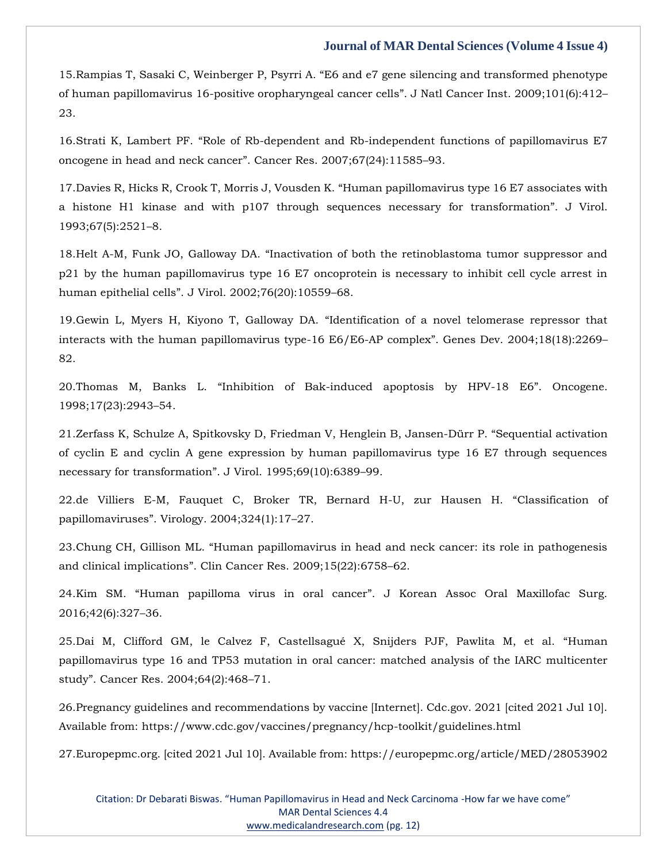15.Rampias T, Sasaki C, Weinberger P, Psyrri A. "[E6 and e7 gene silencing and transformed phenotype](https://www.google.com/search?q=E6+and+e7+gene+silencing+and+transformed+phenotype+of+human+papillomavirus+16-positive+oropharyngeal+cancer+cells&sxsrf=AOaemvK07fTTLZON4z1A-BYdD5soVA3idg%3A1641890759721&ei=x0PdYe-xK62bseMPpuWwiAs&ved=0ahUKEwivsfjbp6n1AhWtTWwGHaYyDLEQ4dUDCA4&uact=5&oq=E6+and+e7+gene+silencing+and+transformed+phenotype+of+human+papillomavirus+16-positive+oropharyngeal+cancer+cells&gs_lcp=Cgdnd3Mtd2l6EAMyBwgjEOoCECcyBwgjEOoCECcyBwgjEOoCECcyBwgjEOoCECcyBwgjEOoCECcyBwgjEOoCECcyBwgjEOoCECcyBwgjEOoCECcyBwgjEOoCECcyBwgjEOoCECdKBAhBGABKBAhGGABQhAZYhAZgzAhoAXAAeACAAQCIAQCSAQCYAQCgAQGgAQKwAQrAAQE&sclient=gws-wiz)  [of human papillomavirus 16-positive oropharyngeal cancer cells](https://www.google.com/search?q=E6+and+e7+gene+silencing+and+transformed+phenotype+of+human+papillomavirus+16-positive+oropharyngeal+cancer+cells&sxsrf=AOaemvK07fTTLZON4z1A-BYdD5soVA3idg%3A1641890759721&ei=x0PdYe-xK62bseMPpuWwiAs&ved=0ahUKEwivsfjbp6n1AhWtTWwGHaYyDLEQ4dUDCA4&uact=5&oq=E6+and+e7+gene+silencing+and+transformed+phenotype+of+human+papillomavirus+16-positive+oropharyngeal+cancer+cells&gs_lcp=Cgdnd3Mtd2l6EAMyBwgjEOoCECcyBwgjEOoCECcyBwgjEOoCECcyBwgjEOoCECcyBwgjEOoCECcyBwgjEOoCECcyBwgjEOoCECcyBwgjEOoCECcyBwgjEOoCECcyBwgjEOoCECdKBAhBGABKBAhGGABQhAZYhAZgzAhoAXAAeACAAQCIAQCSAQCYAQCgAQGgAQKwAQrAAQE&sclient=gws-wiz)". J Natl Cancer Inst. 2009;101(6):412– [23.](https://www.google.com/search?q=E6+and+e7+gene+silencing+and+transformed+phenotype+of+human+papillomavirus+16-positive+oropharyngeal+cancer+cells&sxsrf=AOaemvK07fTTLZON4z1A-BYdD5soVA3idg%3A1641890759721&ei=x0PdYe-xK62bseMPpuWwiAs&ved=0ahUKEwivsfjbp6n1AhWtTWwGHaYyDLEQ4dUDCA4&uact=5&oq=E6+and+e7+gene+silencing+and+transformed+phenotype+of+human+papillomavirus+16-positive+oropharyngeal+cancer+cells&gs_lcp=Cgdnd3Mtd2l6EAMyBwgjEOoCECcyBwgjEOoCECcyBwgjEOoCECcyBwgjEOoCECcyBwgjEOoCECcyBwgjEOoCECcyBwgjEOoCECcyBwgjEOoCECcyBwgjEOoCECcyBwgjEOoCECdKBAhBGABKBAhGGABQhAZYhAZgzAhoAXAAeACAAQCIAQCSAQCYAQCgAQGgAQKwAQrAAQE&sclient=gws-wiz)

16.Strati K, Lambert PF. "[Role of Rb-dependent and Rb-independent functions of papillomavirus E7](https://www.google.com/search?q=Role+of+Rb-dependent+and+Rb-independent+functions+of+papillomavirus+E7+oncogene+in+head+and+neck+cancer&sxsrf=AOaemvII6rLhB3Myq_fYcKPx8A8ZO6odVA%3A1641890777910&ei=2UPdYbPyNrKRseMPzvS6SA&ved=0ahUKEwjzws7kp6n1AhWySGwGHU66DgkQ4dUDCA4&uact=5&oq=Role+of+Rb-dependent+and+Rb-independent+functions+of+papillomavirus+E7+oncogene+in+head+and+neck+cancer&gs_lcp=Cgdnd3Mtd2l6EAMyBwgjEOoCECcyBwgjEOoCECcyBwgjEOoCECcyBwgjEOoCECcyBwgjEOoCECcyBwgjEOoCECcyBwgjEOoCECcyBwgjEOoCECcyBwgjEOoCECcyBwgjEOoCECdKBAhBGABKBAhGGABQggZYggZgtwhoAXAAeACAAQCIAQCSAQCYAQCgAQGgAQKwAQrAAQE&sclient=gws-wiz)  [oncogene in head and neck cancer](https://www.google.com/search?q=Role+of+Rb-dependent+and+Rb-independent+functions+of+papillomavirus+E7+oncogene+in+head+and+neck+cancer&sxsrf=AOaemvII6rLhB3Myq_fYcKPx8A8ZO6odVA%3A1641890777910&ei=2UPdYbPyNrKRseMPzvS6SA&ved=0ahUKEwjzws7kp6n1AhWySGwGHU66DgkQ4dUDCA4&uact=5&oq=Role+of+Rb-dependent+and+Rb-independent+functions+of+papillomavirus+E7+oncogene+in+head+and+neck+cancer&gs_lcp=Cgdnd3Mtd2l6EAMyBwgjEOoCECcyBwgjEOoCECcyBwgjEOoCECcyBwgjEOoCECcyBwgjEOoCECcyBwgjEOoCECcyBwgjEOoCECcyBwgjEOoCECcyBwgjEOoCECcyBwgjEOoCECdKBAhBGABKBAhGGABQggZYggZgtwhoAXAAeACAAQCIAQCSAQCYAQCgAQGgAQKwAQrAAQE&sclient=gws-wiz)". Cancer Res. 2007;67(24):11585–93.

17.Davies R, Hicks R, Crook T, Morris J, Vousden K. "[Human papillomavirus type 16 E7 associates with](https://www.google.com/search?q=Human+papillomavirus+type+16+E7+associates+with+a+histone+H1+kinase+and+with+p107+through+sequences+necessary+for+transformation&sxsrf=AOaemvK76onM2nQAnGbJqJHS9Q5A0qFoDw%3A1641890797563&ei=7UPdYdjsIdydseMP_r6l2As&ved=0ahUKEwiYl_7tp6n1AhXcTmwGHX5fCbsQ4dUDCA4&uact=5&oq=Human+papillomavirus+type+16+E7+associates+with+a+histone+H1+kinase+and+with+p107+through+sequences+necessary+for+transformation&gs_lcp=Cgdnd3Mtd2l6EAMyBwgjEOoCECcyBwgjEOoCECcyBwgjEOoCECcyBwgjEOoCECcyBwgjEOoCECcyBwgjEOoCECcyBwgjEOoCECcyBwgjEOoCECcyBwgjEOoCECcyBwgjEOoCECdKBAhBGABKBAhGGABQ1wVY1wVg-QdoAXAAeACAAQCIAQCSAQCYAQCgAQGgAQKwAQrAAQE&sclient=gws-wiz)  [a histone H1 kinase and with p107 through sequences necessary for transformation](https://www.google.com/search?q=Human+papillomavirus+type+16+E7+associates+with+a+histone+H1+kinase+and+with+p107+through+sequences+necessary+for+transformation&sxsrf=AOaemvK76onM2nQAnGbJqJHS9Q5A0qFoDw%3A1641890797563&ei=7UPdYdjsIdydseMP_r6l2As&ved=0ahUKEwiYl_7tp6n1AhXcTmwGHX5fCbsQ4dUDCA4&uact=5&oq=Human+papillomavirus+type+16+E7+associates+with+a+histone+H1+kinase+and+with+p107+through+sequences+necessary+for+transformation&gs_lcp=Cgdnd3Mtd2l6EAMyBwgjEOoCECcyBwgjEOoCECcyBwgjEOoCECcyBwgjEOoCECcyBwgjEOoCECcyBwgjEOoCECcyBwgjEOoCECcyBwgjEOoCECcyBwgjEOoCECcyBwgjEOoCECdKBAhBGABKBAhGGABQ1wVY1wVg-QdoAXAAeACAAQCIAQCSAQCYAQCgAQGgAQKwAQrAAQE&sclient=gws-wiz)". J Virol. [1993;67\(5\):2521](https://www.google.com/search?q=Human+papillomavirus+type+16+E7+associates+with+a+histone+H1+kinase+and+with+p107+through+sequences+necessary+for+transformation&sxsrf=AOaemvK76onM2nQAnGbJqJHS9Q5A0qFoDw%3A1641890797563&ei=7UPdYdjsIdydseMP_r6l2As&ved=0ahUKEwiYl_7tp6n1AhXcTmwGHX5fCbsQ4dUDCA4&uact=5&oq=Human+papillomavirus+type+16+E7+associates+with+a+histone+H1+kinase+and+with+p107+through+sequences+necessary+for+transformation&gs_lcp=Cgdnd3Mtd2l6EAMyBwgjEOoCECcyBwgjEOoCECcyBwgjEOoCECcyBwgjEOoCECcyBwgjEOoCECcyBwgjEOoCECcyBwgjEOoCECcyBwgjEOoCECcyBwgjEOoCECcyBwgjEOoCECdKBAhBGABKBAhGGABQ1wVY1wVg-QdoAXAAeACAAQCIAQCSAQCYAQCgAQGgAQKwAQrAAQE&sclient=gws-wiz)–8.

18.Helt A-M, Funk JO, Galloway DA. "[Inactivation of both the retinoblastoma tumor suppressor and](https://www.google.com/search?q=Inactivation+of+both+the+retinoblastoma+tumor+suppressor+and+p21+by+the+human+papillomavirus+type+16+E7+oncoprotein+is+necessary+to+inhibit+cell+cycle+arrest+in+human+epithelial+cells&sxsrf=AOaemvKyT02ytTOfmhMVFWfb6KrgBQprog%3A1641890814689&ei=_kPdYZy-KZiXseMP1dyWgAs&ved=0ahUKEwictZP2p6n1AhWYS2wGHVWuBbAQ4dUDCA4&uact=5&oq=Inactivation+of+both+the+retinoblastoma+tumor+suppressor+and+p21+by+the+human+papillomavirus+type+16+E7+oncoprotein+is+necessary+to+inhibit+cell+cycle+arrest+in+human+epithelial+cells&gs_lcp=Cgdnd3Mtd2l6EAMyBwgjEOoCECcyBwgjEOoCECcyBwgjEOoCECcyBwgjEOoCECcyBwgjEOoCECcyBwgjEOoCECcyBwgjEOoCECcyBwgjEOoCECcyBwgjEOoCECcyBwgjEOoCECdKBAhBGABKBAhGGABQgQZYgQZguwhoAXAAeACAAQCIAQCSAQCYAQCgAQGgAQKwAQrAAQE&sclient=gws-wiz)  [p21 by the human papillomavirus type 16 E7 oncoprotein is necessary to inhibit cell cycle arrest in](https://www.google.com/search?q=Inactivation+of+both+the+retinoblastoma+tumor+suppressor+and+p21+by+the+human+papillomavirus+type+16+E7+oncoprotein+is+necessary+to+inhibit+cell+cycle+arrest+in+human+epithelial+cells&sxsrf=AOaemvKyT02ytTOfmhMVFWfb6KrgBQprog%3A1641890814689&ei=_kPdYZy-KZiXseMP1dyWgAs&ved=0ahUKEwictZP2p6n1AhWYS2wGHVWuBbAQ4dUDCA4&uact=5&oq=Inactivation+of+both+the+retinoblastoma+tumor+suppressor+and+p21+by+the+human+papillomavirus+type+16+E7+oncoprotein+is+necessary+to+inhibit+cell+cycle+arrest+in+human+epithelial+cells&gs_lcp=Cgdnd3Mtd2l6EAMyBwgjEOoCECcyBwgjEOoCECcyBwgjEOoCECcyBwgjEOoCECcyBwgjEOoCECcyBwgjEOoCECcyBwgjEOoCECcyBwgjEOoCECcyBwgjEOoCECcyBwgjEOoCECdKBAhBGABKBAhGGABQgQZYgQZguwhoAXAAeACAAQCIAQCSAQCYAQCgAQGgAQKwAQrAAQE&sclient=gws-wiz)  human epithelial cells"[. J Virol. 2002;76\(20\):10559](https://www.google.com/search?q=Inactivation+of+both+the+retinoblastoma+tumor+suppressor+and+p21+by+the+human+papillomavirus+type+16+E7+oncoprotein+is+necessary+to+inhibit+cell+cycle+arrest+in+human+epithelial+cells&sxsrf=AOaemvKyT02ytTOfmhMVFWfb6KrgBQprog%3A1641890814689&ei=_kPdYZy-KZiXseMP1dyWgAs&ved=0ahUKEwictZP2p6n1AhWYS2wGHVWuBbAQ4dUDCA4&uact=5&oq=Inactivation+of+both+the+retinoblastoma+tumor+suppressor+and+p21+by+the+human+papillomavirus+type+16+E7+oncoprotein+is+necessary+to+inhibit+cell+cycle+arrest+in+human+epithelial+cells&gs_lcp=Cgdnd3Mtd2l6EAMyBwgjEOoCECcyBwgjEOoCECcyBwgjEOoCECcyBwgjEOoCECcyBwgjEOoCECcyBwgjEOoCECcyBwgjEOoCECcyBwgjEOoCECcyBwgjEOoCECcyBwgjEOoCECdKBAhBGABKBAhGGABQgQZYgQZguwhoAXAAeACAAQCIAQCSAQCYAQCgAQGgAQKwAQrAAQE&sclient=gws-wiz)–68.

19.Gewin L, Myers H, Kiyono T, Galloway DA. "[Identification of a novel telomerase repressor that](https://www.google.com/search?q=Identification+of+a+novel+telomerase+repressor+that+interacts+with+the+human+papillomavirus+type-16+E6%2FE6-AP+complex&sxsrf=AOaemvKutAiyDX0qMjwNFR-TtEVpuR82lw%3A1641890831950&ei=D0TdYb-1OZ6XseMPvrmSwAU&ved=0ahUKEwj_-LD-p6n1AhWeS2wGHb6cBFgQ4dUDCA4&uact=5&oq=Identification+of+a+novel+telomerase+repressor+that+interacts+with+the+human+papillomavirus+type-16+E6%2FE6-AP+complex&gs_lcp=Cgdnd3Mtd2l6EAMyBwgjEOoCECcyBwgjEOoCECcyBwgjEOoCECcyBwgjEOoCECcyBwgjEOoCECcyBwgjEOoCECcyBwgjEOoCECcyBwgjEOoCECcyBwgjEOoCECcyBwgjEOoCECdKBAhBGABKBAhGGABQkAZYkAZg1AdoAXAAeACAAQCIAQCSAQCYAQCgAQGgAQKwAQrAAQE&sclient=gws-wiz)  [interacts with the human papillomavirus type-16 E6/E6-AP complex](https://www.google.com/search?q=Identification+of+a+novel+telomerase+repressor+that+interacts+with+the+human+papillomavirus+type-16+E6%2FE6-AP+complex&sxsrf=AOaemvKutAiyDX0qMjwNFR-TtEVpuR82lw%3A1641890831950&ei=D0TdYb-1OZ6XseMPvrmSwAU&ved=0ahUKEwj_-LD-p6n1AhWeS2wGHb6cBFgQ4dUDCA4&uact=5&oq=Identification+of+a+novel+telomerase+repressor+that+interacts+with+the+human+papillomavirus+type-16+E6%2FE6-AP+complex&gs_lcp=Cgdnd3Mtd2l6EAMyBwgjEOoCECcyBwgjEOoCECcyBwgjEOoCECcyBwgjEOoCECcyBwgjEOoCECcyBwgjEOoCECcyBwgjEOoCECcyBwgjEOoCECcyBwgjEOoCECcyBwgjEOoCECdKBAhBGABKBAhGGABQkAZYkAZg1AdoAXAAeACAAQCIAQCSAQCYAQCgAQGgAQKwAQrAAQE&sclient=gws-wiz)". Genes Dev. 2004;18(18):2269– [82.](https://www.google.com/search?q=Identification+of+a+novel+telomerase+repressor+that+interacts+with+the+human+papillomavirus+type-16+E6%2FE6-AP+complex&sxsrf=AOaemvKutAiyDX0qMjwNFR-TtEVpuR82lw%3A1641890831950&ei=D0TdYb-1OZ6XseMPvrmSwAU&ved=0ahUKEwj_-LD-p6n1AhWeS2wGHb6cBFgQ4dUDCA4&uact=5&oq=Identification+of+a+novel+telomerase+repressor+that+interacts+with+the+human+papillomavirus+type-16+E6%2FE6-AP+complex&gs_lcp=Cgdnd3Mtd2l6EAMyBwgjEOoCECcyBwgjEOoCECcyBwgjEOoCECcyBwgjEOoCECcyBwgjEOoCECcyBwgjEOoCECcyBwgjEOoCECcyBwgjEOoCECcyBwgjEOoCECcyBwgjEOoCECdKBAhBGABKBAhGGABQkAZYkAZg1AdoAXAAeACAAQCIAQCSAQCYAQCgAQGgAQKwAQrAAQE&sclient=gws-wiz)

20.Thomas M, Banks L. "[Inhibition of Bak-induced apoptosis by HPV-18 E6](https://www.google.com/search?q=Inhibition+of+Bak-induced+apoptosis+by+HPV-18+E6&sxsrf=AOaemvJeOyxEE6zG1Lf7Nb2B_G_lmJOlcg%3A1641890852139&ei=JETdYfr6B7KTseMP-4W7iAw&ved=0ahUKEwj6nIGIqKn1AhWySWwGHfvCDsEQ4dUDCA4&uact=5&oq=Inhibition+of+Bak-induced+apoptosis+by+HPV-18+E6&gs_lcp=Cgdnd3Mtd2l6EAMyBggAEBYQHjoHCCMQ6gIQJ0oECEEYAEoECEYYAFDGBljGBmDLCWgBcAJ4AIAB7AGIAewBkgEDMi0xmAEAoAEBoAECsAEKwAEB&sclient=gws-wiz)". Oncogene. [1998;17\(23\):2943](https://www.google.com/search?q=Inhibition+of+Bak-induced+apoptosis+by+HPV-18+E6&sxsrf=AOaemvJeOyxEE6zG1Lf7Nb2B_G_lmJOlcg%3A1641890852139&ei=JETdYfr6B7KTseMP-4W7iAw&ved=0ahUKEwj6nIGIqKn1AhWySWwGHfvCDsEQ4dUDCA4&uact=5&oq=Inhibition+of+Bak-induced+apoptosis+by+HPV-18+E6&gs_lcp=Cgdnd3Mtd2l6EAMyBggAEBYQHjoHCCMQ6gIQJ0oECEEYAEoECEYYAFDGBljGBmDLCWgBcAJ4AIAB7AGIAewBkgEDMi0xmAEAoAEBoAECsAEKwAEB&sclient=gws-wiz)–54.

21[.Zerfass K, Schulze A, Spitkovsky D, Friedman V, Henglein B, Jansen-Dürr P.](https://www.google.com/search?q=Sequential+activation+of+cyclin+E+and+cyclin+A+gene+expression+by+human+papillomavirus+type+16+E7+through+sequences+necessary+for+transformation&sxsrf=AOaemvJnPG5cwXRR0T5snvLpWoZb2Qmp7Q%3A1641890912690&ei=YETdYbe9KY-RseMPo9KquA0&ved=0ahUKEwi37fCkqKn1AhWPSGwGHSOpCtcQ4dUDCA4&uact=5&oq=Sequential+activation+of+cyclin+E+and+cyclin+A+gene+expression+by+human+papillomavirus+type+16+E7+through+sequences+necessary+for+transformation&gs_lcp=Cgdnd3Mtd2l6EAMyBwgjEOoCECcyBwgjEOoCECcyBwgjEOoCECcyBwgjEOoCECcyBwgjEOoCECcyBwgjEOoCECcyBwgjEOoCECcyBwgjEOoCECcyBwgjEOoCECcyBwgjEOoCECdKBAhBGABKBAhGGABQ1gVY1gVgwQhoAXAAeACAAQCIAQCSAQCYAQCgAQGgAQKwAQrAAQE&sclient=gws-wiz) "Sequential activation [of cyclin E and cyclin A gene expression by human papillomavirus type 16 E7 through sequences](https://www.google.com/search?q=Sequential+activation+of+cyclin+E+and+cyclin+A+gene+expression+by+human+papillomavirus+type+16+E7+through+sequences+necessary+for+transformation&sxsrf=AOaemvJnPG5cwXRR0T5snvLpWoZb2Qmp7Q%3A1641890912690&ei=YETdYbe9KY-RseMPo9KquA0&ved=0ahUKEwi37fCkqKn1AhWPSGwGHSOpCtcQ4dUDCA4&uact=5&oq=Sequential+activation+of+cyclin+E+and+cyclin+A+gene+expression+by+human+papillomavirus+type+16+E7+through+sequences+necessary+for+transformation&gs_lcp=Cgdnd3Mtd2l6EAMyBwgjEOoCECcyBwgjEOoCECcyBwgjEOoCECcyBwgjEOoCECcyBwgjEOoCECcyBwgjEOoCECcyBwgjEOoCECcyBwgjEOoCECcyBwgjEOoCECcyBwgjEOoCECdKBAhBGABKBAhGGABQ1gVY1gVgwQhoAXAAeACAAQCIAQCSAQCYAQCgAQGgAQKwAQrAAQE&sclient=gws-wiz)  [necessary for transformation](https://www.google.com/search?q=Sequential+activation+of+cyclin+E+and+cyclin+A+gene+expression+by+human+papillomavirus+type+16+E7+through+sequences+necessary+for+transformation&sxsrf=AOaemvJnPG5cwXRR0T5snvLpWoZb2Qmp7Q%3A1641890912690&ei=YETdYbe9KY-RseMPo9KquA0&ved=0ahUKEwi37fCkqKn1AhWPSGwGHSOpCtcQ4dUDCA4&uact=5&oq=Sequential+activation+of+cyclin+E+and+cyclin+A+gene+expression+by+human+papillomavirus+type+16+E7+through+sequences+necessary+for+transformation&gs_lcp=Cgdnd3Mtd2l6EAMyBwgjEOoCECcyBwgjEOoCECcyBwgjEOoCECcyBwgjEOoCECcyBwgjEOoCECcyBwgjEOoCECcyBwgjEOoCECcyBwgjEOoCECcyBwgjEOoCECcyBwgjEOoCECdKBAhBGABKBAhGGABQ1gVY1gVgwQhoAXAAeACAAQCIAQCSAQCYAQCgAQGgAQKwAQrAAQE&sclient=gws-wiz)". J Virol. 1995;69(10):6389–99.

22[.de Villiers E-M, Fauquet C, Broker TR, Bernard H-U, zur Hausen H.](https://www.google.com/search?q=Classification+of+papillomaviruses&sxsrf=AOaemvI6Z9cE7OsXUhKawgrusLzgiWbzAw%3A1641890932844&ei=dETdYYf8MpKeseMP2NiE0AM&ved=0ahUKEwiHhr-uqKn1AhUST2wGHVgsAToQ4dUDCA4&uact=5&oq=Classification+of+papillomaviruses&gs_lcp=Cgdnd3Mtd2l6EAMyBAgjECcyBAgAEAo6BwgjEOoCECdKBAhBGABKBAhGGABQ2AVY2AVg7QhoAXAAeACAAdEBiAHRAZIBAzItMZgBAKABAaABArABCsABAQ&sclient=gws-wiz) "Classification of papillomaviruses"[. Virology. 2004;324\(1\):17](https://www.google.com/search?q=Classification+of+papillomaviruses&sxsrf=AOaemvI6Z9cE7OsXUhKawgrusLzgiWbzAw%3A1641890932844&ei=dETdYYf8MpKeseMP2NiE0AM&ved=0ahUKEwiHhr-uqKn1AhUST2wGHVgsAToQ4dUDCA4&uact=5&oq=Classification+of+papillomaviruses&gs_lcp=Cgdnd3Mtd2l6EAMyBAgjECcyBAgAEAo6BwgjEOoCECdKBAhBGABKBAhGGABQ2AVY2AVg7QhoAXAAeACAAdEBiAHRAZIBAzItMZgBAKABAaABArABCsABAQ&sclient=gws-wiz)–27.

23.Chung CH, Gillison ML. "[Human papillomavirus in head and neck cancer: its role in pathogenesis](https://www.google.com/search?q=Human+papillomavirus+in+head+and+neck+cancer%3A+its+role+in+pathogenesis+and+clinical+implications&sxsrf=AOaemvLE9DEgq-Rv4PaX1BYhqnULKuLXdQ%3A1641890949425&ei=hUTdYdO8GYOWseMPvr6D2Ag&ved=0ahUKEwiTk7O2qKn1AhUDS2wGHT7fAIsQ4dUDCA4&uact=5&oq=Human+papillomavirus+in+head+and+neck+cancer%3A+its+role+in+pathogenesis+and+clinical+implications&gs_lcp=Cgdnd3Mtd2l6EAM6BwgjEOoCECdKBAhBGABKBAhGGABQrgVYrgVgzgdoAXACeACAAcYBiAHGAZIBAzAuMZgBAKABAaABArABCsABAQ&sclient=gws-wiz)  and clinical implications"[. Clin Cancer Res. 2009;15\(22\):6758](https://www.google.com/search?q=Human+papillomavirus+in+head+and+neck+cancer%3A+its+role+in+pathogenesis+and+clinical+implications&sxsrf=AOaemvLE9DEgq-Rv4PaX1BYhqnULKuLXdQ%3A1641890949425&ei=hUTdYdO8GYOWseMPvr6D2Ag&ved=0ahUKEwiTk7O2qKn1AhUDS2wGHT7fAIsQ4dUDCA4&uact=5&oq=Human+papillomavirus+in+head+and+neck+cancer%3A+its+role+in+pathogenesis+and+clinical+implications&gs_lcp=Cgdnd3Mtd2l6EAM6BwgjEOoCECdKBAhBGABKBAhGGABQrgVYrgVgzgdoAXACeACAAcYBiAHGAZIBAzAuMZgBAKABAaABArABCsABAQ&sclient=gws-wiz)–62.

24.Kim SM. "Human papilloma virus in oral cancer"[. J Korean Assoc Oral Maxillofac Surg.](https://www.google.com/search?q=Human+papilloma+virus+in+oral+cancer&sxsrf=AOaemvJC3FPt0jSKTOytHf8flxQ3T4ZBCA%3A1641890965911&ei=lUTdYbyJN4eeseMPz_ii-Aw&ved=0ahUKEwj8p6G-qKn1AhUHT2wGHU-8CM8Q4dUDCA4&uact=5&oq=Human+papilloma+virus+in+oral+cancer&gs_lcp=Cgdnd3Mtd2l6EAMyBAgAEA0yCAgAEBYQChAeOgcIIxDqAhAnSgQIQRgASgQIRhgAUKkGWKkGYLUJaAFwAHgAgAHKAYgBygGSAQMyLTGYAQCgAQGgAQKwAQrAAQE&sclient=gws-wiz)  [2016;42\(6\):327](https://www.google.com/search?q=Human+papilloma+virus+in+oral+cancer&sxsrf=AOaemvJC3FPt0jSKTOytHf8flxQ3T4ZBCA%3A1641890965911&ei=lUTdYbyJN4eeseMPz_ii-Aw&ved=0ahUKEwj8p6G-qKn1AhUHT2wGHU-8CM8Q4dUDCA4&uact=5&oq=Human+papilloma+virus+in+oral+cancer&gs_lcp=Cgdnd3Mtd2l6EAMyBAgAEA0yCAgAEBYQChAeOgcIIxDqAhAnSgQIQRgASgQIRhgAUKkGWKkGYLUJaAFwAHgAgAHKAYgBygGSAQMyLTGYAQCgAQGgAQKwAQrAAQE&sclient=gws-wiz)–36.

25[.Dai M, Clifford GM, le Calvez F, Castellsagué X, Snijders PJF, Pawlita M, et al.](https://www.google.com/search?q=Human+papillomavirus+type+16+and+TP53+mutation+in+oral+cancer%3A+matched+analysis+of+the+IARC+multicenter+study&sxsrf=AOaemvJHAi2ytYX_HrUdJEuUMPKJ7mkZ7w%3A1641890983104&ei=p0TdYbO8BZSVseMPjNSw6AQ&ved=0ahUKEwjzq7rGqKn1AhWUSmwGHQwqDE0Q4dUDCA4&uact=5&oq=Human+papillomavirus+type+16+and+TP53+mutation+in+oral+cancer%3A+matched+analysis+of+the+IARC+multicenter+study&gs_lcp=Cgdnd3Mtd2l6EAMyBwgjEOoCECcyBwgjEOoCECcyBwgjEOoCECcyBwgjEOoCECcyBwgjEOoCECcyBwgjEOoCECcyBwgjEOoCECcyBwgjEOoCECcyBwgjEOoCECcyBwgjEOoCECdKBAhBGABKBAhGGABQ3AVY3AVg8wdoAXAAeACAAQCIAQCSAQCYAQCgAQGgAQKwAQrAAQE&sclient=gws-wiz) "Human [papillomavirus type 16 and TP53 mutation in oral cancer: matched analysis of the IARC multicenter](https://www.google.com/search?q=Human+papillomavirus+type+16+and+TP53+mutation+in+oral+cancer%3A+matched+analysis+of+the+IARC+multicenter+study&sxsrf=AOaemvJHAi2ytYX_HrUdJEuUMPKJ7mkZ7w%3A1641890983104&ei=p0TdYbO8BZSVseMPjNSw6AQ&ved=0ahUKEwjzq7rGqKn1AhWUSmwGHQwqDE0Q4dUDCA4&uact=5&oq=Human+papillomavirus+type+16+and+TP53+mutation+in+oral+cancer%3A+matched+analysis+of+the+IARC+multicenter+study&gs_lcp=Cgdnd3Mtd2l6EAMyBwgjEOoCECcyBwgjEOoCECcyBwgjEOoCECcyBwgjEOoCECcyBwgjEOoCECcyBwgjEOoCECcyBwgjEOoCECcyBwgjEOoCECcyBwgjEOoCECcyBwgjEOoCECdKBAhBGABKBAhGGABQ3AVY3AVg8wdoAXAAeACAAQCIAQCSAQCYAQCgAQGgAQKwAQrAAQE&sclient=gws-wiz)  study"[. Cancer Res. 2004;64\(2\):468](https://www.google.com/search?q=Human+papillomavirus+type+16+and+TP53+mutation+in+oral+cancer%3A+matched+analysis+of+the+IARC+multicenter+study&sxsrf=AOaemvJHAi2ytYX_HrUdJEuUMPKJ7mkZ7w%3A1641890983104&ei=p0TdYbO8BZSVseMPjNSw6AQ&ved=0ahUKEwjzq7rGqKn1AhWUSmwGHQwqDE0Q4dUDCA4&uact=5&oq=Human+papillomavirus+type+16+and+TP53+mutation+in+oral+cancer%3A+matched+analysis+of+the+IARC+multicenter+study&gs_lcp=Cgdnd3Mtd2l6EAMyBwgjEOoCECcyBwgjEOoCECcyBwgjEOoCECcyBwgjEOoCECcyBwgjEOoCECcyBwgjEOoCECcyBwgjEOoCECcyBwgjEOoCECcyBwgjEOoCECcyBwgjEOoCECdKBAhBGABKBAhGGABQ3AVY3AVg8wdoAXAAeACAAQCIAQCSAQCYAQCgAQGgAQKwAQrAAQE&sclient=gws-wiz)–71.

26.Pregnancy guidelines and recommendations by vaccine [Internet]. Cdc.gov. 2021 [cited 2021 Jul 10]. Available from: https://www.cdc.gov/vaccines/pregnancy/hcp-toolkit/guidelines.html

27.Europepmc.org. [cited 2021 Jul 10]. Available from: https://europepmc.org/article/MED/28053902